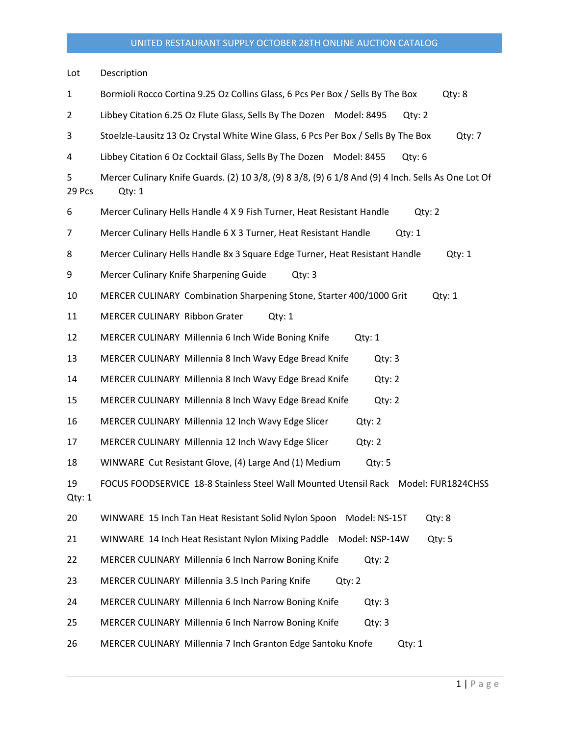Lot Description 1 Bormioli Rocco Cortina 9.25 Oz Collins Glass, 6 Pcs Per Box / Sells By The Box Qty: 8 2 Libbey Citation 6.25 Oz Flute Glass, Sells By The Dozen Model: 8495 Qty: 2 3 Stoelzle-Lausitz 13 Oz Crystal White Wine Glass, 6 Pcs Per Box / Sells By The Box Qty: 7 4 Libbey Citation 6 Oz Cocktail Glass, Sells By The Dozen Model: 8455 Qty: 6 5 Mercer Culinary Knife Guards. (2) 10 3/8, (9) 8 3/8, (9) 6 1/8 And (9) 4 Inch. Sells As One Lot Of 29 Pcs Qty: 1 6 Mercer Culinary Hells Handle 4 X 9 Fish Turner, Heat Resistant Handle Qty: 2 7 Mercer Culinary Hells Handle 6 X 3 Turner, Heat Resistant Handle Qty: 1 8 Mercer Culinary Hells Handle 8x 3 Square Edge Turner, Heat Resistant Handle Qty: 1 9 Mercer Culinary Knife Sharpening Guide Qty: 3 10 MERCER CULINARY Combination Sharpening Stone, Starter 400/1000 Grit Qty: 1 11 MERCER CULINARY Ribbon Grater Qty: 1 12 MERCER CULINARY Millennia 6 Inch Wide Boning Knife Qty: 1 13 MERCER CULINARY Millennia 8 Inch Wavy Edge Bread Knife Qty: 3 14 MERCER CULINARY Millennia 8 Inch Wavy Edge Bread Knife Qty: 2 15 MERCER CULINARY Millennia 8 Inch Wavy Edge Bread Knife Qty: 2 16 MERCER CULINARY Millennia 12 Inch Wavy Edge Slicer Qty: 2 17 MERCER CULINARY Millennia 12 Inch Wavy Edge Slicer Qty: 2 18 WINWARE Cut Resistant Glove, (4) Large And (1) Medium Qty: 5 19 FOCUS FOODSERVICE 18-8 Stainless Steel Wall Mounted Utensil Rack Model: FUR1824CHSS Qty: 1 20 WINWARE 15 Inch Tan Heat Resistant Solid Nylon Spoon Model: NS-15T Qty: 8 21 WINWARE 14 Inch Heat Resistant Nylon Mixing Paddle Model: NSP-14W Qty: 5 22 MERCER CULINARY Millennia 6 Inch Narrow Boning Knife Qty: 2 23 MERCER CULINARY Millennia 3.5 Inch Paring Knife Qty: 2 24 MERCER CULINARY Millennia 6 Inch Narrow Boning Knife Qty: 3 25 MERCER CULINARY Millennia 6 Inch Narrow Boning Knife Qty: 3 26 MERCER CULINARY Millennia 7 Inch Granton Edge Santoku Knofe Qty: 1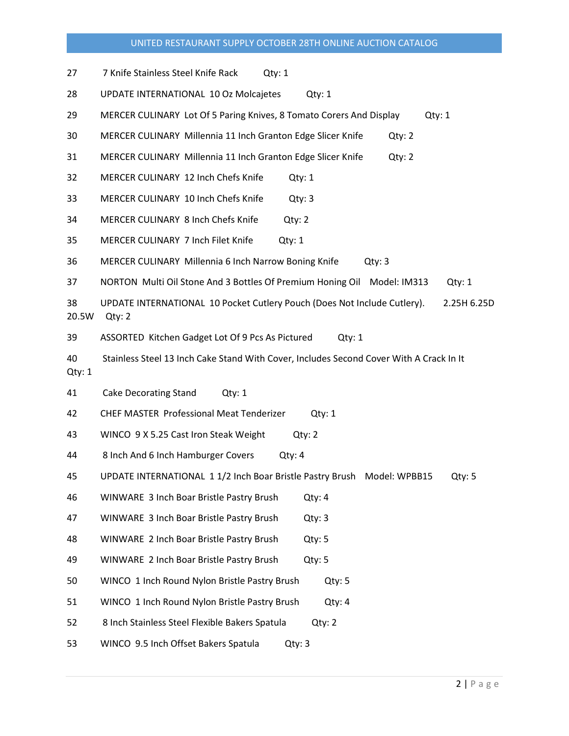| 27           | 7 Knife Stainless Steel Knife Rack<br>Qtv: 1                                                      |  |  |  |  |  |  |
|--------------|---------------------------------------------------------------------------------------------------|--|--|--|--|--|--|
| 28           | UPDATE INTERNATIONAL 10 Oz Molcajetes<br>Qty: 1                                                   |  |  |  |  |  |  |
| 29           | MERCER CULINARY Lot Of 5 Paring Knives, 8 Tomato Corers And Display<br>Qty: 1                     |  |  |  |  |  |  |
| 30           | MERCER CULINARY Millennia 11 Inch Granton Edge Slicer Knife<br>Qty: 2                             |  |  |  |  |  |  |
| 31           | MERCER CULINARY Millennia 11 Inch Granton Edge Slicer Knife<br>Qty: 2                             |  |  |  |  |  |  |
| 32           | MERCER CULINARY 12 Inch Chefs Knife<br>Qty: 1                                                     |  |  |  |  |  |  |
| 33           | MERCER CULINARY 10 Inch Chefs Knife<br>Qty: 3                                                     |  |  |  |  |  |  |
| 34           | MERCER CULINARY 8 Inch Chefs Knife<br>Qty: 2                                                      |  |  |  |  |  |  |
| 35           | MERCER CULINARY 7 Inch Filet Knife<br>Qty: 1                                                      |  |  |  |  |  |  |
| 36           | MERCER CULINARY Millennia 6 Inch Narrow Boning Knife<br>Qty: 3                                    |  |  |  |  |  |  |
| 37           | NORTON Multi Oil Stone And 3 Bottles Of Premium Honing Oil Model: IM313<br>Qty: 1                 |  |  |  |  |  |  |
| 38<br>20.5W  | UPDATE INTERNATIONAL 10 Pocket Cutlery Pouch (Does Not Include Cutlery).<br>2.25H 6.25D<br>Qty: 2 |  |  |  |  |  |  |
| 39           | ASSORTED Kitchen Gadget Lot Of 9 Pcs As Pictured<br>Qty: 1                                        |  |  |  |  |  |  |
| 40<br>Qty: 1 | Stainless Steel 13 Inch Cake Stand With Cover, Includes Second Cover With A Crack In It           |  |  |  |  |  |  |
| 41           | <b>Cake Decorating Stand</b><br>Qty: 1                                                            |  |  |  |  |  |  |
| 42           | <b>CHEF MASTER Professional Meat Tenderizer</b><br>Qty: 1                                         |  |  |  |  |  |  |
| 43           | WINCO 9 X 5.25 Cast Iron Steak Weight<br>Qty: 2                                                   |  |  |  |  |  |  |
| 44           | 8 Inch And 6 Inch Hamburger Covers<br>Qty: 4                                                      |  |  |  |  |  |  |
| 45           | UPDATE INTERNATIONAL 1 1/2 Inch Boar Bristle Pastry Brush Model: WPBB15<br>Qty: 5                 |  |  |  |  |  |  |
| 46           | WINWARE 3 Inch Boar Bristle Pastry Brush<br>Qty: 4                                                |  |  |  |  |  |  |
| 47           | WINWARE 3 Inch Boar Bristle Pastry Brush<br>Qty: 3                                                |  |  |  |  |  |  |
| 48           | WINWARE 2 Inch Boar Bristle Pastry Brush<br>Qty: 5                                                |  |  |  |  |  |  |
| 49           | Qty: 5<br>WINWARE 2 Inch Boar Bristle Pastry Brush                                                |  |  |  |  |  |  |
| 50           | WINCO 1 Inch Round Nylon Bristle Pastry Brush<br>Qty: 5                                           |  |  |  |  |  |  |
| 51           | WINCO 1 Inch Round Nylon Bristle Pastry Brush<br>Qty: 4                                           |  |  |  |  |  |  |
| 52           | 8 Inch Stainless Steel Flexible Bakers Spatula<br>Qty: 2                                          |  |  |  |  |  |  |
| 53           | WINCO 9.5 Inch Offset Bakers Spatula<br>Qty: 3                                                    |  |  |  |  |  |  |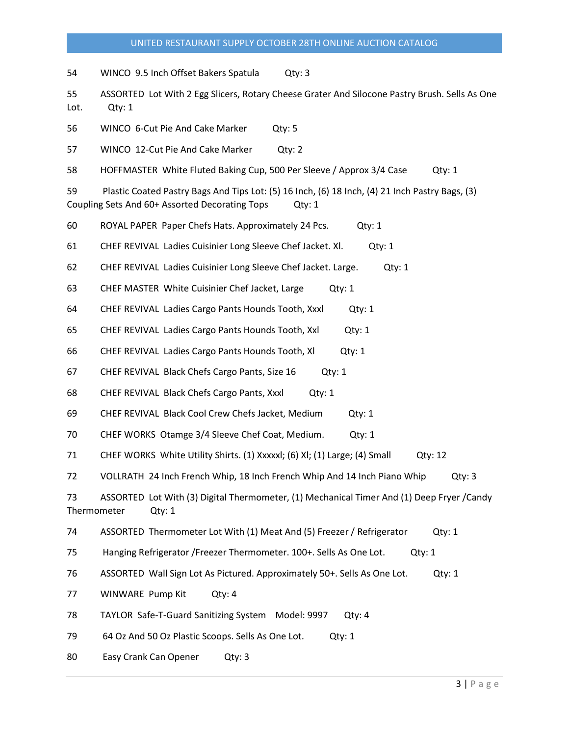54 WINCO 9.5 Inch Offset Bakers Spatula Qty: 3

55 ASSORTED Lot With 2 Egg Slicers, Rotary Cheese Grater And Silocone Pastry Brush. Sells As One Lot. Qty: 1

56 WINCO 6-Cut Pie And Cake Marker Qty: 5

57 WINCO 12-Cut Pie And Cake Marker Qty: 2

58 HOFFMASTER White Fluted Baking Cup, 500 Per Sleeve / Approx 3/4 Case Qty: 1

59 Plastic Coated Pastry Bags And Tips Lot: (5) 16 Inch, (6) 18 Inch, (4) 21 Inch Pastry Bags, (3) Coupling Sets And 60+ Assorted Decorating Tops Qty: 1

60 ROYAL PAPER Paper Chefs Hats. Approximately 24 Pcs. Qty: 1

61 CHEF REVIVAL Ladies Cuisinier Long Sleeve Chef Jacket. Xl. Qty: 1

- 62 CHEF REVIVAL Ladies Cuisinier Long Sleeve Chef Jacket. Large. Qty: 1
- 63 CHEF MASTER White Cuisinier Chef Jacket, Large Qty: 1

64 CHEF REVIVAL Ladies Cargo Pants Hounds Tooth, Xxxl Qty: 1

65 CHEF REVIVAL Ladies Cargo Pants Hounds Tooth, Xxl Qty: 1

66 CHEF REVIVAL Ladies Cargo Pants Hounds Tooth, Xl Qty: 1

- 67 CHEF REVIVAL Black Chefs Cargo Pants, Size 16 Qty: 1
- 68 CHEF REVIVAL Black Chefs Cargo Pants, Xxxl Qty: 1

69 CHEF REVIVAL Black Cool Crew Chefs Jacket, Medium Qty: 1

70 CHEF WORKS Otamge 3/4 Sleeve Chef Coat, Medium. Qty: 1

71 CHEF WORKS White Utility Shirts. (1) Xxxxxl; (6) Xl; (1) Large; (4) Small Qty: 12

72 VOLLRATH 24 Inch French Whip, 18 Inch French Whip And 14 Inch Piano Whip Qty: 3

73 ASSORTED Lot With (3) Digital Thermometer, (1) Mechanical Timer And (1) Deep Fryer /Candy Thermometer Qty: 1

74 ASSORTED Thermometer Lot With (1) Meat And (5) Freezer / Refrigerator Qty: 1

75 Hanging Refrigerator /Freezer Thermometer. 100+. Sells As One Lot. Qty: 1

76 ASSORTED Wall Sign Lot As Pictured. Approximately 50+. Sells As One Lot. Qty: 1

77 WINWARE Pump Kit Qty: 4

78 TAYLOR Safe-T-Guard Sanitizing System Model: 9997 Qty: 4

79 64 Oz And 50 Oz Plastic Scoops. Sells As One Lot. Qty: 1

80 Easy Crank Can Opener Qty: 3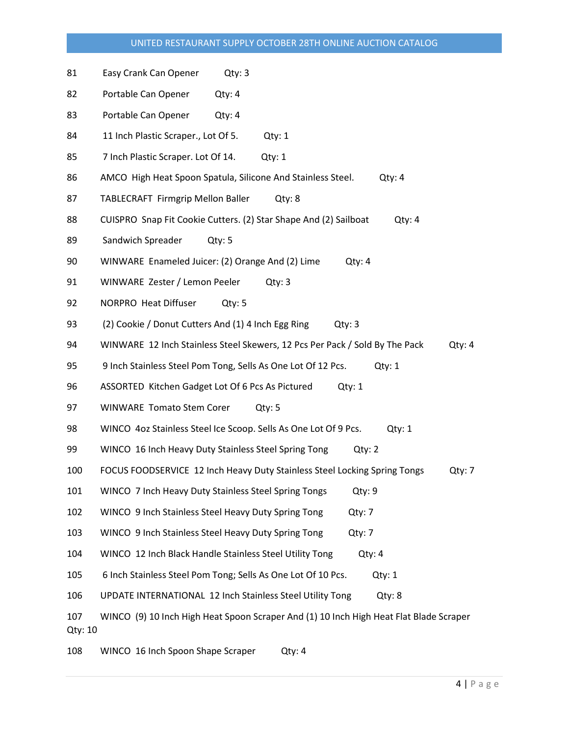- 81 Easy Crank Can Opener Qty: 3
- 82 Portable Can Opener Qty: 4
- 83 Portable Can Opener Qty: 4
- 84 11 Inch Plastic Scraper., Lot Of 5. Qty: 1
- 85 7 Inch Plastic Scraper. Lot Of 14. Qty: 1
- 86 AMCO High Heat Spoon Spatula, Silicone And Stainless Steel. Qty: 4
- 87 TABLECRAFT Firmgrip Mellon Baller Qty: 8
- 88 CUISPRO Snap Fit Cookie Cutters. (2) Star Shape And (2) Sailboat Qty: 4
- 89 Sandwich Spreader Qty: 5
- 90 WINWARE Enameled Juicer: (2) Orange And (2) Lime Qty: 4
- 91 WINWARE Zester / Lemon Peeler Qty: 3
- 92 NORPRO Heat Diffuser Qty: 5
- 93 (2) Cookie / Donut Cutters And (1) 4 Inch Egg Ring Qty: 3
- 94 WINWARE 12 Inch Stainless Steel Skewers, 12 Pcs Per Pack / Sold By The Pack Qty: 4
- 95 9 Inch Stainless Steel Pom Tong, Sells As One Lot Of 12 Pcs. Qty: 1
- 96 ASSORTED Kitchen Gadget Lot Of 6 Pcs As Pictured Qty: 1
- 97 WINWARE Tomato Stem Corer Qty: 5
- 98 WINCO 4oz Stainless Steel Ice Scoop. Sells As One Lot Of 9 Pcs. Qty: 1
- 99 WINCO 16 Inch Heavy Duty Stainless Steel Spring Tong Qty: 2
- 100 FOCUS FOODSERVICE 12 Inch Heavy Duty Stainless Steel Locking Spring Tongs Qty: 7
- 101 WINCO 7 Inch Heavy Duty Stainless Steel Spring Tongs Qty: 9
- 102 WINCO 9 Inch Stainless Steel Heavy Duty Spring Tong Qty: 7
- 103 WINCO 9 Inch Stainless Steel Heavy Duty Spring Tong Qty: 7
- 104 WINCO 12 Inch Black Handle Stainless Steel Utility Tong Qty: 4
- 105 6 Inch Stainless Steel Pom Tong; Sells As One Lot Of 10 Pcs. Qty: 1
- 106 UPDATE INTERNATIONAL 12 Inch Stainless Steel Utility Tong Qty: 8
- 107 WINCO (9) 10 Inch High Heat Spoon Scraper And (1) 10 Inch High Heat Flat Blade Scraper Qty: 10
- 108 WINCO 16 Inch Spoon Shape Scraper Qty: 4
	-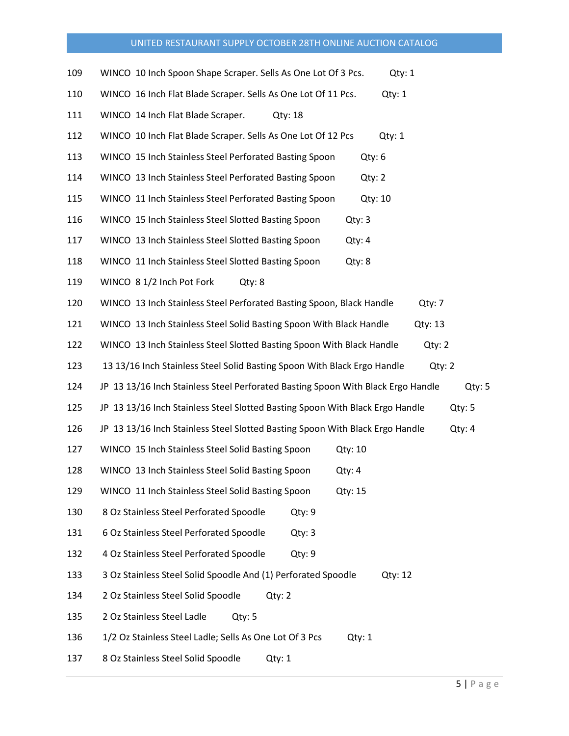| 109 | WINCO 10 Inch Spoon Shape Scraper. Sells As One Lot Of 3 Pcs.<br>Qtv: 1                    |
|-----|--------------------------------------------------------------------------------------------|
| 110 | WINCO 16 Inch Flat Blade Scraper. Sells As One Lot Of 11 Pcs.<br>Qty: 1                    |
| 111 | WINCO 14 Inch Flat Blade Scraper.<br>$Q$ ty: 18                                            |
| 112 | WINCO 10 Inch Flat Blade Scraper. Sells As One Lot Of 12 Pcs<br>Qty: 1                     |
| 113 | WINCO 15 Inch Stainless Steel Perforated Basting Spoon<br>Qty: 6                           |
| 114 | WINCO 13 Inch Stainless Steel Perforated Basting Spoon<br>Qty: 2                           |
| 115 | WINCO 11 Inch Stainless Steel Perforated Basting Spoon<br>Qty: 10                          |
| 116 | WINCO 15 Inch Stainless Steel Slotted Basting Spoon<br>Qty: 3                              |
| 117 | WINCO 13 Inch Stainless Steel Slotted Basting Spoon<br>Qty: 4                              |
| 118 | WINCO 11 Inch Stainless Steel Slotted Basting Spoon<br>Qty: 8                              |
| 119 | WINCO 8 1/2 Inch Pot Fork<br>Qty: 8                                                        |
| 120 | WINCO 13 Inch Stainless Steel Perforated Basting Spoon, Black Handle<br>Qty: 7             |
| 121 | WINCO 13 Inch Stainless Steel Solid Basting Spoon With Black Handle<br>Qty: 13             |
| 122 | WINCO 13 Inch Stainless Steel Slotted Basting Spoon With Black Handle<br>Qty: 2            |
| 123 | 13 13/16 Inch Stainless Steel Solid Basting Spoon With Black Ergo Handle<br>Qty: 2         |
| 124 | JP 13 13/16 Inch Stainless Steel Perforated Basting Spoon With Black Ergo Handle<br>Qty: 5 |
| 125 | JP 13 13/16 Inch Stainless Steel Slotted Basting Spoon With Black Ergo Handle<br>Qty: 5    |
| 126 | JP 13 13/16 Inch Stainless Steel Slotted Basting Spoon With Black Ergo Handle<br>Qty: 4    |
| 127 | WINCO 15 Inch Stainless Steel Solid Basting Spoon<br>Qty: 10                               |
| 128 | WINCO 13 Inch Stainless Steel Solid Basting Spoon<br>Qty: 4                                |
| 129 | WINCO 11 Inch Stainless Steel Solid Basting Spoon<br>Qty: 15                               |
| 130 | 8 Oz Stainless Steel Perforated Spoodle<br>Qty: 9                                          |
| 131 | 6 Oz Stainless Steel Perforated Spoodle<br>Qty: 3                                          |
| 132 | 4 Oz Stainless Steel Perforated Spoodle<br>Qty: 9                                          |
| 133 | 3 Oz Stainless Steel Solid Spoodle And (1) Perforated Spoodle<br>Qty: 12                   |
| 134 | 2 Oz Stainless Steel Solid Spoodle<br>Qty: 2                                               |
| 135 | 2 Oz Stainless Steel Ladle<br>Qty: 5                                                       |
| 136 | 1/2 Oz Stainless Steel Ladle; Sells As One Lot Of 3 Pcs<br>Qty: 1                          |
| 137 | 8 Oz Stainless Steel Solid Spoodle<br>Qty: 1                                               |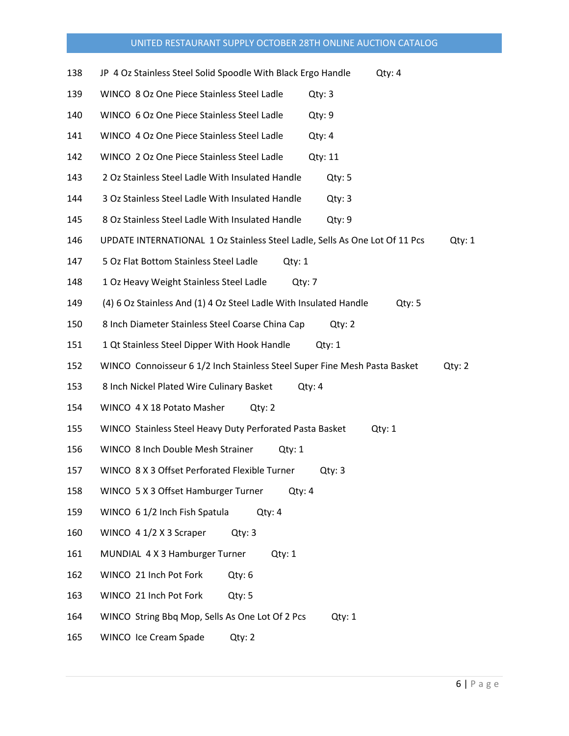| 138 | JP 4 Oz Stainless Steel Solid Spoodle With Black Ergo Handle<br>Qty: 4                |  |  |  |  |  |  |
|-----|---------------------------------------------------------------------------------------|--|--|--|--|--|--|
| 139 | WINCO 8 Oz One Piece Stainless Steel Ladle<br>Qty: 3                                  |  |  |  |  |  |  |
| 140 | WINCO 6 Oz One Piece Stainless Steel Ladle<br>Qty:9                                   |  |  |  |  |  |  |
| 141 | WINCO 4 Oz One Piece Stainless Steel Ladle<br>Qty: 4                                  |  |  |  |  |  |  |
| 142 | WINCO 2 Oz One Piece Stainless Steel Ladle<br>Qty: 11                                 |  |  |  |  |  |  |
| 143 | 2 Oz Stainless Steel Ladle With Insulated Handle<br>Qty: 5                            |  |  |  |  |  |  |
| 144 | 3 Oz Stainless Steel Ladle With Insulated Handle<br>Qty: 3                            |  |  |  |  |  |  |
| 145 | 8 Oz Stainless Steel Ladle With Insulated Handle<br>Qty:9                             |  |  |  |  |  |  |
| 146 | UPDATE INTERNATIONAL 1 Oz Stainless Steel Ladle, Sells As One Lot Of 11 Pcs<br>Qty: 1 |  |  |  |  |  |  |
| 147 | 5 Oz Flat Bottom Stainless Steel Ladle<br>Qty: 1                                      |  |  |  |  |  |  |
| 148 | 1 Oz Heavy Weight Stainless Steel Ladle<br>Qtv: 7                                     |  |  |  |  |  |  |
| 149 | (4) 6 Oz Stainless And (1) 4 Oz Steel Ladle With Insulated Handle<br>Qty: 5           |  |  |  |  |  |  |
| 150 | 8 Inch Diameter Stainless Steel Coarse China Cap<br>Qty: 2                            |  |  |  |  |  |  |
| 151 | 1 Qt Stainless Steel Dipper With Hook Handle<br>Qty: 1                                |  |  |  |  |  |  |
|     |                                                                                       |  |  |  |  |  |  |
| 152 | WINCO Connoisseur 6 1/2 Inch Stainless Steel Super Fine Mesh Pasta Basket<br>Qty: 2   |  |  |  |  |  |  |
| 153 | 8 Inch Nickel Plated Wire Culinary Basket<br>Qty: 4                                   |  |  |  |  |  |  |
| 154 | WINCO 4 X 18 Potato Masher<br>Qty: 2                                                  |  |  |  |  |  |  |
| 155 | WINCO Stainless Steel Heavy Duty Perforated Pasta Basket<br>Qty: 1                    |  |  |  |  |  |  |
| 156 | WINCO 8 Inch Double Mesh Strainer<br>Qty: 1                                           |  |  |  |  |  |  |
| 157 | WINCO 8 X 3 Offset Perforated Flexible Turner<br>Qty: 3                               |  |  |  |  |  |  |
| 158 | WINCO 5 X 3 Offset Hamburger Turner<br>Qty: 4                                         |  |  |  |  |  |  |
| 159 | WINCO 6 1/2 Inch Fish Spatula<br>Qty: 4                                               |  |  |  |  |  |  |
| 160 | WINCO 4 1/2 X 3 Scraper<br>Qty: 3                                                     |  |  |  |  |  |  |
| 161 | MUNDIAL 4 X 3 Hamburger Turner<br>Qty: 1                                              |  |  |  |  |  |  |
| 162 | WINCO 21 Inch Pot Fork<br>Qty: 6                                                      |  |  |  |  |  |  |
| 163 | WINCO 21 Inch Pot Fork<br>Qty: 5                                                      |  |  |  |  |  |  |
| 164 | WINCO String Bbq Mop, Sells As One Lot Of 2 Pcs<br>Qty: 1                             |  |  |  |  |  |  |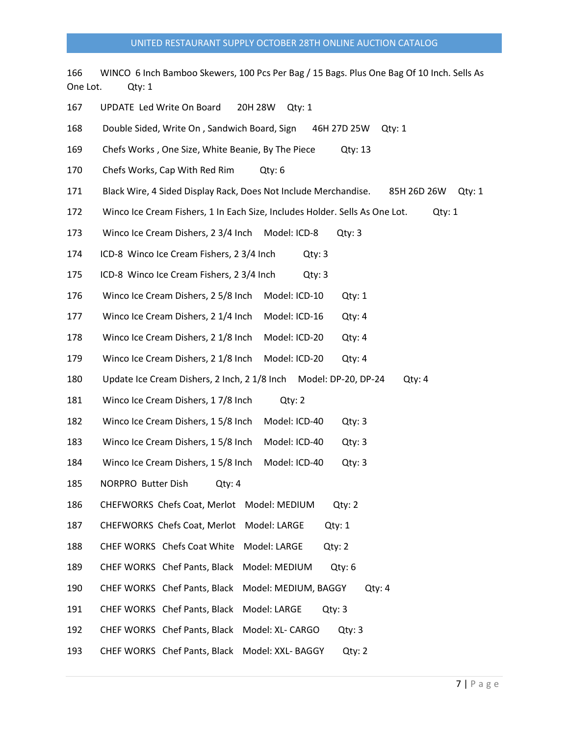166 WINCO 6 Inch Bamboo Skewers, 100 Pcs Per Bag / 15 Bags. Plus One Bag Of 10 Inch. Sells As One Lot. Qty: 1 167 UPDATE Led Write On Board 20H 28W Qty: 1 168 Double Sided, Write On , Sandwich Board, Sign 46H 27D 25W Qty: 1 169 Chefs Works , One Size, White Beanie, By The Piece Qty: 13 170 Chefs Works, Cap With Red Rim Qty: 6 171 Black Wire, 4 Sided Display Rack, Does Not Include Merchandise. 85H 26D 26W Qty: 1 172 Winco Ice Cream Fishers, 1 In Each Size, Includes Holder. Sells As One Lot. Qty: 1 173 Winco Ice Cream Dishers, 2 3/4 Inch Model: ICD-8 Qty: 3 174 ICD-8 Winco Ice Cream Fishers, 2 3/4 Inch Qty: 3 175 ICD-8 Winco Ice Cream Fishers, 2 3/4 Inch Qty: 3 176 Winco Ice Cream Dishers, 2 5/8 Inch Model: ICD-10 Qty: 1 177 Winco Ice Cream Dishers, 2 1/4 Inch Model: ICD-16 Qty: 4 178 Winco Ice Cream Dishers, 2 1/8 Inch Model: ICD-20 Qty: 4 179 Winco Ice Cream Dishers, 2 1/8 Inch Model: ICD-20 Qty: 4 180 Update Ice Cream Dishers, 2 Inch, 2 1/8 Inch Model: DP-20, DP-24 Qty: 4 181 Winco Ice Cream Dishers, 1 7/8 Inch Qty: 2 182 Winco Ice Cream Dishers, 1 5/8 Inch Model: ICD-40 Qty: 3 183 Winco Ice Cream Dishers, 1 5/8 Inch Model: ICD-40 Qty: 3 184 Winco Ice Cream Dishers, 1 5/8 Inch Model: ICD-40 Qty: 3 185 NORPRO Butter Dish Qty: 4 186 CHEFWORKS Chefs Coat, Merlot Model: MEDIUM Qty: 2 187 CHEFWORKS Chefs Coat, Merlot Model: LARGE Qty: 1 188 CHEF WORKS Chefs Coat White Model: LARGE Qty: 2 189 CHEF WORKS Chef Pants, Black Model: MEDIUM Qty: 6 190 CHEF WORKS Chef Pants, Black Model: MEDIUM, BAGGY Qty: 4 191 CHEF WORKS Chef Pants, Black Model: LARGE Qty: 3 192 CHEF WORKS Chef Pants, Black Model: XL- CARGO Qty: 3 193 CHEF WORKS Chef Pants, Black Model: XXL- BAGGY Qty: 2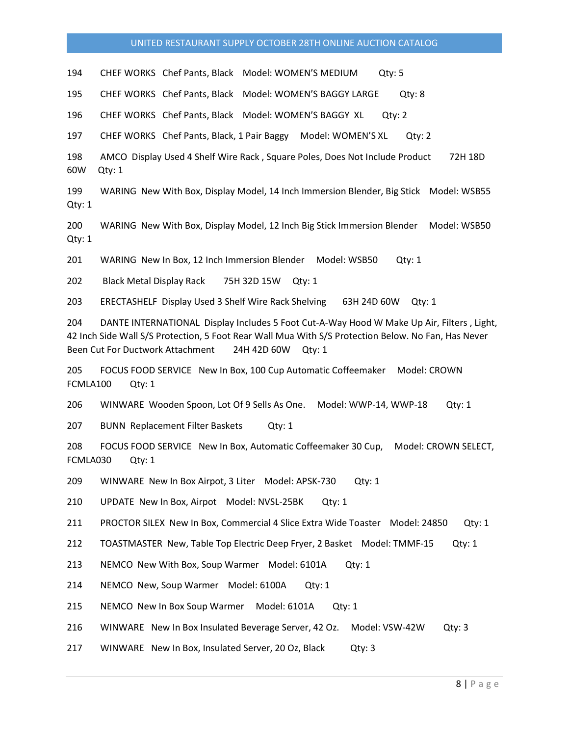194 CHEF WORKS Chef Pants, Black Model: WOMEN'S MEDIUM Qty: 5

195 CHEF WORKS Chef Pants, Black Model: WOMEN'S BAGGY LARGE Qty: 8

196 CHEF WORKS Chef Pants, Black Model: WOMEN'S BAGGY XL Qty: 2

197 CHEF WORKS Chef Pants, Black, 1 Pair Baggy Model: WOMEN'S XL Qty: 2

198 AMCO Display Used 4 Shelf Wire Rack , Square Poles, Does Not Include Product 72H 18D 60W Qty: 1

199 WARING New With Box, Display Model, 14 Inch Immersion Blender, Big Stick Model: WSB55 Qty: 1

200 WARING New With Box, Display Model, 12 Inch Big Stick Immersion Blender Model: WSB50 Qty: 1

201 WARING New In Box, 12 Inch Immersion Blender Model: WSB50 Qty: 1

202 Black Metal Display Rack 75H 32D 15W Qty: 1

203 ERECTASHELF Display Used 3 Shelf Wire Rack Shelving 63H 24D 60W Qty: 1

204 DANTE INTERNATIONAL Display Includes 5 Foot Cut-A-Way Hood W Make Up Air, Filters , Light, 42 Inch Side Wall S/S Protection, 5 Foot Rear Wall Mua With S/S Protection Below. No Fan, Has Never Been Cut For Ductwork Attachment 24H 42D 60W Qty: 1

205 FOCUS FOOD SERVICE New In Box, 100 Cup Automatic Coffeemaker Model: CROWN FCMLA100 Qty: 1

206 WINWARE Wooden Spoon, Lot Of 9 Sells As One. Model: WWP-14, WWP-18 Qty: 1

207 BUNN Replacement Filter Baskets Qty: 1

208 FOCUS FOOD SERVICE New In Box, Automatic Coffeemaker 30 Cup, Model: CROWN SELECT, FCMLA030 Qty: 1

209 WINWARE New In Box Airpot, 3 Liter Model: APSK-730 Qty: 1

210 UPDATE New In Box, Airpot Model: NVSL-25BK Qty: 1

211 PROCTOR SILEX New In Box, Commercial 4 Slice Extra Wide Toaster Model: 24850 Qty: 1

212 TOASTMASTER New, Table Top Electric Deep Fryer, 2 Basket Model: TMMF-15 Qty: 1

213 NEMCO New With Box, Soup Warmer Model: 6101A Qty: 1

214 NEMCO New, Soup Warmer Model: 6100A Qty: 1

215 NEMCO New In Box Soup Warmer Model: 6101A Qty: 1

216 WINWARE New In Box Insulated Beverage Server, 42 Oz. Model: VSW-42W Qty: 3

217 WINWARE New In Box, Insulated Server, 20 Oz, Black Qty: 3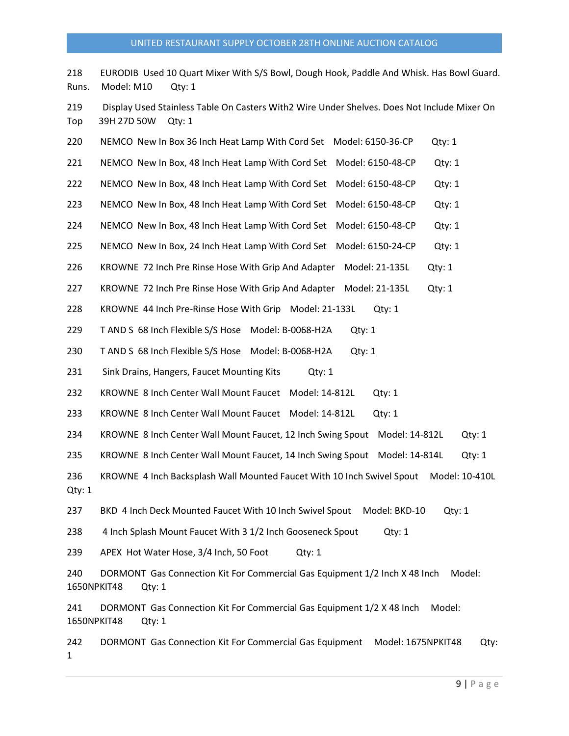218 EURODIB Used 10 Quart Mixer With S/S Bowl, Dough Hook, Paddle And Whisk. Has Bowl Guard. Runs. Model: M10 Qty: 1

219 Display Used Stainless Table On Casters With2 Wire Under Shelves. Does Not Include Mixer On Top 39H 27D 50W Qty: 1

| 220                | NEMCO New In Box 36 Inch Heat Lamp With Cord Set<br>Model: 6150-36-CP<br>Qty: 1                |
|--------------------|------------------------------------------------------------------------------------------------|
| 221                | NEMCO New In Box, 48 Inch Heat Lamp With Cord Set<br>Model: 6150-48-CP<br>Qty: 1               |
| 222                | NEMCO New In Box, 48 Inch Heat Lamp With Cord Set<br>Model: 6150-48-CP<br>Qty: 1               |
| 223                | NEMCO New In Box, 48 Inch Heat Lamp With Cord Set<br>Model: 6150-48-CP<br>Qty: 1               |
| 224                | NEMCO New In Box, 48 Inch Heat Lamp With Cord Set<br>Model: 6150-48-CP<br>Qty: 1               |
| 225                | NEMCO New In Box, 24 Inch Heat Lamp With Cord Set<br>Model: 6150-24-CP<br>Qty: 1               |
| 226                | KROWNE 72 Inch Pre Rinse Hose With Grip And Adapter<br>Model: 21-135L<br>Qty: 1                |
| 227                | KROWNE 72 Inch Pre Rinse Hose With Grip And Adapter<br>Model: 21-135L<br>Qty: 1                |
| 228                | KROWNE 44 Inch Pre-Rinse Hose With Grip Model: 21-133L<br>Qty: 1                               |
| 229                | T AND S 68 Inch Flexible S/S Hose Model: B-0068-H2A<br>Qty: 1                                  |
| 230                | T AND S 68 Inch Flexible S/S Hose Model: B-0068-H2A<br>Qty: 1                                  |
| 231                | Sink Drains, Hangers, Faucet Mounting Kits<br>Qty: 1                                           |
| 232                | KROWNE 8 Inch Center Wall Mount Faucet Model: 14-812L<br>Qty: 1                                |
| 233                | KROWNE 8 Inch Center Wall Mount Faucet Model: 14-812L<br>Qty: 1                                |
| 234                | KROWNE 8 Inch Center Wall Mount Faucet, 12 Inch Swing Spout<br>Model: 14-812L<br>Qty: 1        |
| 235                | KROWNE 8 Inch Center Wall Mount Faucet, 14 Inch Swing Spout<br>Model: 14-814L<br>Qty: 1        |
| 236<br>Qty: 1      | KROWNE 4 Inch Backsplash Wall Mounted Faucet With 10 Inch Swivel Spout<br>Model: 10-410L       |
| 237                | BKD 4 Inch Deck Mounted Faucet With 10 Inch Swivel Spout<br>Model: BKD-10<br>Qty: 1            |
| 238                | 4 Inch Splash Mount Faucet With 3 1/2 Inch Gooseneck Spout<br>Qty: 1                           |
| 239                | APEX Hot Water Hose, 3/4 Inch, 50 Foot<br>$Q$ ty: 1                                            |
| 240<br>1650NPKIT48 | DORMONT Gas Connection Kit For Commercial Gas Equipment 1/2 Inch X 48 Inch<br>Model:<br>Qty: 1 |
| 241<br>1650NPKIT48 | DORMONT Gas Connection Kit For Commercial Gas Equipment 1/2 X 48 Inch<br>Model:<br>Qty: 1      |
| 242<br>1           | DORMONT Gas Connection Kit For Commercial Gas Equipment<br>Model: 1675NPKIT48<br>Qty:          |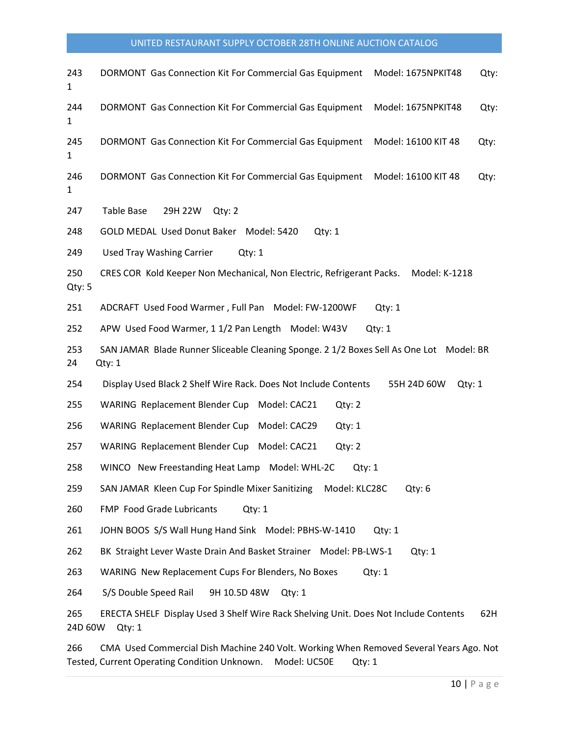| 243<br>1      | DORMONT Gas Connection Kit For Commercial Gas Equipment<br>Model: 1675NPKIT48                                    | Qty: |  |  |  |  |  |
|---------------|------------------------------------------------------------------------------------------------------------------|------|--|--|--|--|--|
| 244<br>1      | DORMONT Gas Connection Kit For Commercial Gas Equipment<br>Model: 1675NPKIT48                                    | Qty: |  |  |  |  |  |
| 245<br>1      | DORMONT Gas Connection Kit For Commercial Gas Equipment<br>Model: 16100 KIT 48<br>Qty:                           |      |  |  |  |  |  |
| 246<br>1      | DORMONT Gas Connection Kit For Commercial Gas Equipment<br>Model: 16100 KIT 48                                   | Qty: |  |  |  |  |  |
| 247           | Table Base<br>29H 22W<br>Qty: 2                                                                                  |      |  |  |  |  |  |
| 248           | GOLD MEDAL Used Donut Baker Model: 5420<br>Qty: 1                                                                |      |  |  |  |  |  |
| 249           | <b>Used Tray Washing Carrier</b><br>Qty: 1                                                                       |      |  |  |  |  |  |
| 250<br>Qty: 5 | CRES COR Kold Keeper Non Mechanical, Non Electric, Refrigerant Packs.<br>Model: K-1218                           |      |  |  |  |  |  |
| 251           | ADCRAFT Used Food Warmer, Full Pan Model: FW-1200WF<br>Qty: 1                                                    |      |  |  |  |  |  |
| 252           | APW Used Food Warmer, 1 1/2 Pan Length Model: W43V<br>Qty: 1                                                     |      |  |  |  |  |  |
| 253<br>24     | SAN JAMAR Blade Runner Sliceable Cleaning Sponge. 2 1/2 Boxes Sell As One Lot Model: BR<br>Qty: 1                |      |  |  |  |  |  |
| 254           | Display Used Black 2 Shelf Wire Rack. Does Not Include Contents<br>55H 24D 60W<br>Qty: 1                         |      |  |  |  |  |  |
| 255           | <b>WARING Replacement Blender Cup</b><br>Model: CAC21<br>Qty: 2                                                  |      |  |  |  |  |  |
| 256           | <b>WARING Replacement Blender Cup</b><br>Model: CAC29<br>Qty: 1                                                  |      |  |  |  |  |  |
| 257           | WARING Replacement Blender Cup Model: CAC21<br>Qty: 2                                                            |      |  |  |  |  |  |
| 258           | WINCO New Freestanding Heat Lamp Model: WHL-2C<br>Qty: 1                                                         |      |  |  |  |  |  |
| 259           | SAN JAMAR Kleen Cup For Spindle Mixer Sanitizing<br>Model: KLC28C<br>Qty: 6                                      |      |  |  |  |  |  |
| 260           | FMP Food Grade Lubricants<br>Qty: 1                                                                              |      |  |  |  |  |  |
| 261           | JOHN BOOS S/S Wall Hung Hand Sink Model: PBHS-W-1410<br>Qtv: 1                                                   |      |  |  |  |  |  |
| 262           | BK Straight Lever Waste Drain And Basket Strainer Model: PB-LWS-1<br>Qty: 1                                      |      |  |  |  |  |  |
| 263           | WARING New Replacement Cups For Blenders, No Boxes<br>Qty: 1                                                     |      |  |  |  |  |  |
| 264           | S/S Double Speed Rail<br>9H 10.5D 48W<br>Qty: 1                                                                  |      |  |  |  |  |  |
| 265           | ERECTA SHELF Display Used 3 Shelf Wire Rack Shelving Unit. Does Not Include Contents<br>62H<br>24D 60W<br>Qty: 1 |      |  |  |  |  |  |
|               | Commonded Dich Mocking 240 Volt Werking Whom Bomer                                                               |      |  |  |  |  |  |

266 CMA Used Commercial Dish Machine 240 Volt. Working When Removed Several Years Ago. Not Tested, Current Operating Condition Unknown. Model: UC50E Qty: 1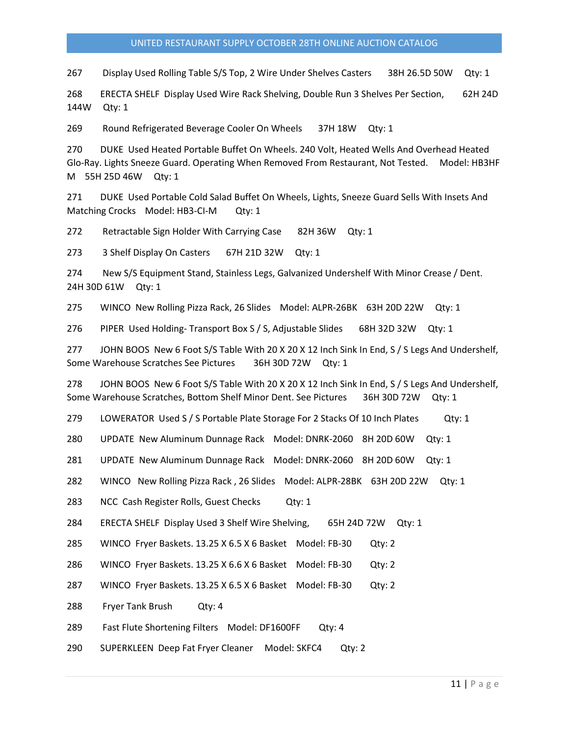267 Display Used Rolling Table S/S Top, 2 Wire Under Shelves Casters 38H 26.5D 50W Qty: 1

268 ERECTA SHELF Display Used Wire Rack Shelving, Double Run 3 Shelves Per Section, 62H 24D 144W Qty: 1

269 Round Refrigerated Beverage Cooler On Wheels 37H 18W Qty: 1

270 DUKE Used Heated Portable Buffet On Wheels. 240 Volt, Heated Wells And Overhead Heated Glo-Ray. Lights Sneeze Guard. Operating When Removed From Restaurant, Not Tested. Model: HB3HF M 55H 25D 46W Qty: 1

271 DUKE Used Portable Cold Salad Buffet On Wheels, Lights, Sneeze Guard Sells With Insets And Matching Crocks Model: HB3-CI-M Qty: 1

272 Retractable Sign Holder With Carrying Case 82H 36W Qty: 1

273 3 Shelf Display On Casters 67H 21D 32W Qty: 1

274 New S/S Equipment Stand, Stainless Legs, Galvanized Undershelf With Minor Crease / Dent. 24H 30D 61W Qty: 1

275 WINCO New Rolling Pizza Rack, 26 Slides Model: ALPR-26BK 63H 20D 22W Qty: 1

276 PIPER Used Holding- Transport Box S / S, Adjustable Slides 68H 32D 32W Qty: 1

277 JOHN BOOS New 6 Foot S/S Table With 20 X 20 X 12 Inch Sink In End, S / S Legs And Undershelf, Some Warehouse Scratches See Pictures 36H 30D 72W Qty: 1

278 JOHN BOOS New 6 Foot S/S Table With 20 X 20 X 12 Inch Sink In End, S / S Legs And Undershelf, Some Warehouse Scratches, Bottom Shelf Minor Dent. See Pictures 36H 30D 72W Qty: 1

279 LOWERATOR Used S / S Portable Plate Storage For 2 Stacks Of 10 Inch Plates Qty: 1

280 UPDATE New Aluminum Dunnage Rack Model: DNRK-2060 8H 20D 60W Qty: 1

281 UPDATE New Aluminum Dunnage Rack Model: DNRK-2060 8H 20D 60W Qty: 1

282 WINCO New Rolling Pizza Rack , 26 Slides Model: ALPR-28BK 63H 20D 22W Qty: 1

283 NCC Cash Register Rolls, Guest Checks Qty: 1

284 ERECTA SHELF Display Used 3 Shelf Wire Shelving, 65H 24D 72W Qty: 1

285 WINCO Fryer Baskets. 13.25 X 6.5 X 6 Basket Model: FB-30 Qty: 2

286 WINCO Fryer Baskets. 13.25 X 6.6 X 6 Basket Model: FB-30 Qty: 2

287 WINCO Fryer Baskets. 13.25 X 6.5 X 6 Basket Model: FB-30 Qty: 2

288 Fryer Tank Brush Qty: 4

289 Fast Flute Shortening Filters Model: DF1600FF Qty: 4

290 SUPERKLEEN Deep Fat Fryer Cleaner Model: SKFC4 Qty: 2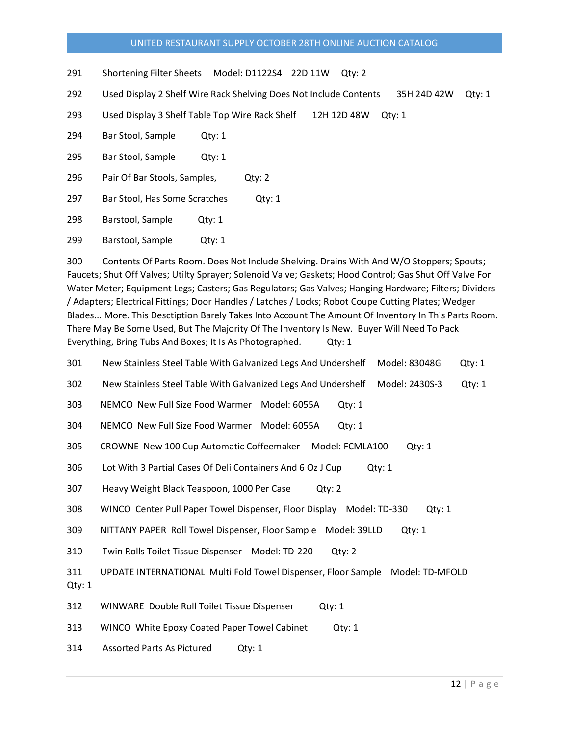291 Shortening Filter Sheets Model: D1122S4 22D 11W Qty: 2

292 Used Display 2 Shelf Wire Rack Shelving Does Not Include Contents 35H 24D 42W Qty: 1

293 Used Display 3 Shelf Table Top Wire Rack Shelf 12H 12D 48W Qty: 1

294 Bar Stool, Sample Qty: 1

295 Bar Stool, Sample Qty: 1

296 Pair Of Bar Stools, Samples, Qty: 2

297 Bar Stool, Has Some Scratches Qty: 1

298 Barstool, Sample Qty: 1

299 Barstool, Sample Qty: 1

300 Contents Of Parts Room. Does Not Include Shelving. Drains With And W/O Stoppers; Spouts; Faucets; Shut Off Valves; Utilty Sprayer; Solenoid Valve; Gaskets; Hood Control; Gas Shut Off Valve For Water Meter; Equipment Legs; Casters; Gas Regulators; Gas Valves; Hanging Hardware; Filters; Dividers / Adapters; Electrical Fittings; Door Handles / Latches / Locks; Robot Coupe Cutting Plates; Wedger Blades... More. This Desctiption Barely Takes Into Account The Amount Of Inventory In This Parts Room. There May Be Some Used, But The Majority Of The Inventory Is New. Buyer Will Need To Pack Everything, Bring Tubs And Boxes; It Is As Photographed. Qty: 1

301 New Stainless Steel Table With Galvanized Legs And Undershelf Model: 83048G Qty: 1 302 New Stainless Steel Table With Galvanized Legs And Undershelf Model: 2430S-3 Qty: 1 303 NEMCO New Full Size Food Warmer Model: 6055A Qty: 1 304 NEMCO New Full Size Food Warmer Model: 6055A Qty: 1 305 CROWNE New 100 Cup Automatic Coffeemaker Model: FCMLA100 Qty: 1 306 Lot With 3 Partial Cases Of Deli Containers And 6 Oz J Cup Qty: 1 307 Heavy Weight Black Teaspoon, 1000 Per Case Qty: 2 308 WINCO Center Pull Paper Towel Dispenser, Floor Display Model: TD-330 Qty: 1 309 NITTANY PAPER Roll Towel Dispenser, Floor Sample Model: 39LLD Qty: 1 310 Twin Rolls Toilet Tissue Dispenser Model: TD-220 Qty: 2 311 UPDATE INTERNATIONAL Multi Fold Towel Dispenser, Floor Sample Model: TD-MFOLD Qty: 1 312 WINWARE Double Roll Toilet Tissue Dispenser Qty: 1 313 WINCO White Epoxy Coated Paper Towel Cabinet Qty: 1

314 Assorted Parts As Pictured Qty: 1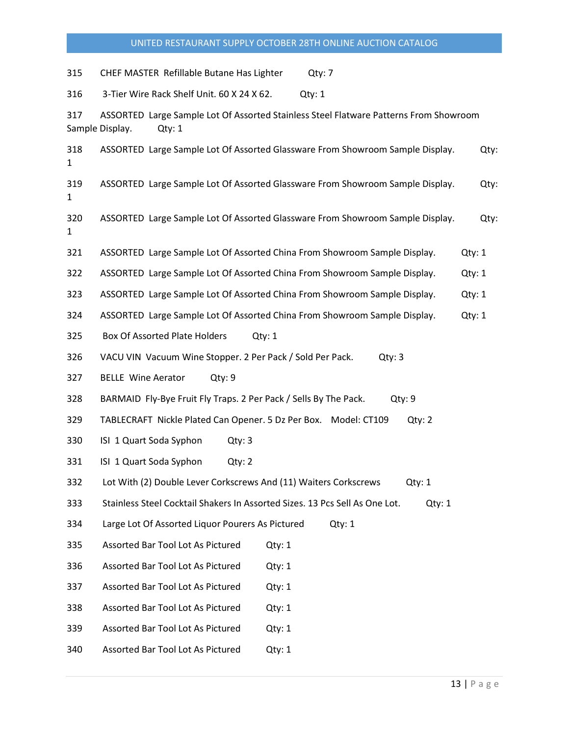315 CHEF MASTER Refillable Butane Has Lighter Qty: 7 316 3-Tier Wire Rack Shelf Unit. 60 X 24 X 62. Qty: 1 317 ASSORTED Large Sample Lot Of Assorted Stainless Steel Flatware Patterns From Showroom Sample Display. Qty: 1 318 ASSORTED Large Sample Lot Of Assorted Glassware From Showroom Sample Display. Qty: 1 319 ASSORTED Large Sample Lot Of Assorted Glassware From Showroom Sample Display. Qty: 1 320 ASSORTED Large Sample Lot Of Assorted Glassware From Showroom Sample Display. Qty: 1 321 ASSORTED Large Sample Lot Of Assorted China From Showroom Sample Display. Qty: 1 322 ASSORTED Large Sample Lot Of Assorted China From Showroom Sample Display. Qty: 1 323 ASSORTED Large Sample Lot Of Assorted China From Showroom Sample Display. Qty: 1 324 ASSORTED Large Sample Lot Of Assorted China From Showroom Sample Display. Qty: 1 325 Box Of Assorted Plate Holders Qty: 1 326 VACU VIN Vacuum Wine Stopper. 2 Per Pack / Sold Per Pack. Qty: 3 327 BELLE Wine Aerator Qty: 9 328 BARMAID Fly-Bye Fruit Fly Traps. 2 Per Pack / Sells By The Pack. Qty: 9 329 TABLECRAFT Nickle Plated Can Opener. 5 Dz Per Box. Model: CT109 Qty: 2 330 ISI 1 Quart Soda Syphon Qty: 3 331 ISI 1 Quart Soda Syphon Qty: 2 332 Lot With (2) Double Lever Corkscrews And (11) Waiters Corkscrews Qty: 1 333 Stainless Steel Cocktail Shakers In Assorted Sizes. 13 Pcs Sell As One Lot. Qty: 1 334 Large Lot Of Assorted Liquor Pourers As Pictured Qty: 1 335 Assorted Bar Tool Lot As Pictured Qty: 1 336 Assorted Bar Tool Lot As Pictured Qty: 1 337 Assorted Bar Tool Lot As Pictured Qty: 1 338 Assorted Bar Tool Lot As Pictured Qty: 1 339 Assorted Bar Tool Lot As Pictured Qty: 1 340 Assorted Bar Tool Lot As Pictured Qty: 1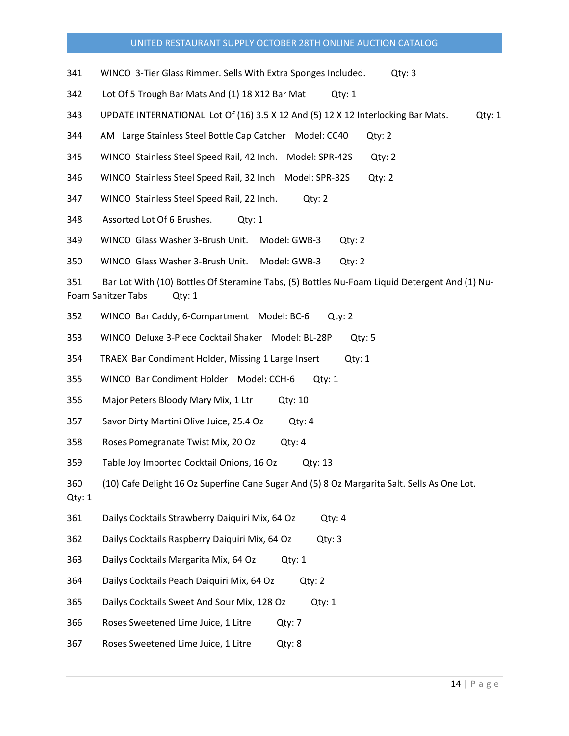- 341 WINCO 3-Tier Glass Rimmer. Sells With Extra Sponges Included. Qty: 3
- 342 Lot Of 5 Trough Bar Mats And (1) 18 X12 Bar Mat Qty: 1
- 343 UPDATE INTERNATIONAL Lot Of (16) 3.5 X 12 And (5) 12 X 12 Interlocking Bar Mats. Qty: 1
- 344 AM Large Stainless Steel Bottle Cap Catcher Model: CC40 Qty: 2
- 345 WINCO Stainless Steel Speed Rail, 42 Inch. Model: SPR-42S Qty: 2
- 346 WINCO Stainless Steel Speed Rail, 32 Inch Model: SPR-32S Qty: 2
- 347 WINCO Stainless Steel Speed Rail, 22 Inch. Qty: 2
- 348 Assorted Lot Of 6 Brushes. Qty: 1
- 349 WINCO Glass Washer 3-Brush Unit. Model: GWB-3 Qty: 2
- 350 WINCO Glass Washer 3-Brush Unit. Model: GWB-3 Qty: 2

351 Bar Lot With (10) Bottles Of Steramine Tabs, (5) Bottles Nu-Foam Liquid Detergent And (1) Nu-Foam Sanitzer Tabs Qty: 1

- 352 WINCO Bar Caddy, 6-Compartment Model: BC-6 Qty: 2
- 353 WINCO Deluxe 3-Piece Cocktail Shaker Model: BL-28P Qty: 5
- 354 TRAEX Bar Condiment Holder, Missing 1 Large Insert Qty: 1
- 355 WINCO Bar Condiment Holder Model: CCH-6 Qty: 1
- 356 Major Peters Bloody Mary Mix, 1 Ltr Qty: 10
- 357 Savor Dirty Martini Olive Juice, 25.4 Oz Qty: 4
- 358 Roses Pomegranate Twist Mix, 20 Oz Qty: 4
- 359 Table Joy Imported Cocktail Onions, 16 Oz Qty: 13
- 360 (10) Cafe Delight 16 Oz Superfine Cane Sugar And (5) 8 Oz Margarita Salt. Sells As One Lot.
- Qty: 1
- 361 Dailys Cocktails Strawberry Daiquiri Mix, 64 Oz Qty: 4
- 362 Dailys Cocktails Raspberry Daiquiri Mix, 64 Oz Qty: 3
- 363 Dailys Cocktails Margarita Mix, 64 Oz Qty: 1
- 364 Dailys Cocktails Peach Daiquiri Mix, 64 Oz Qty: 2
- 365 Dailys Cocktails Sweet And Sour Mix, 128 Oz Qty: 1
- 366 Roses Sweetened Lime Juice, 1 Litre Qty: 7
- 367 Roses Sweetened Lime Juice, 1 Litre Qty: 8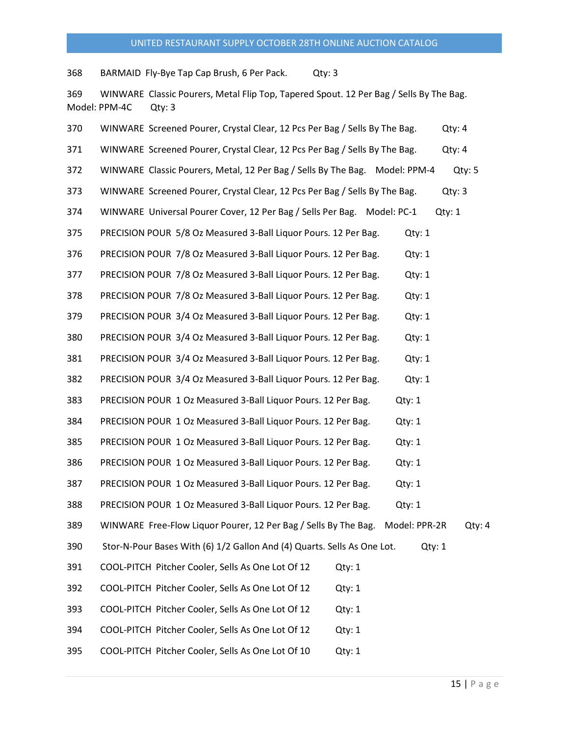368 BARMAID Fly-Bye Tap Cap Brush, 6 Per Pack. Qty: 3

369 WINWARE Classic Pourers, Metal Flip Top, Tapered Spout. 12 Per Bag / Sells By The Bag. Model: PPM-4C Qty: 3

| 370 | WINWARE Screened Pourer, Crystal Clear, 12 Pcs Per Bag / Sells By The Bag.<br>Qty: 4       |
|-----|--------------------------------------------------------------------------------------------|
| 371 | WINWARE Screened Pourer, Crystal Clear, 12 Pcs Per Bag / Sells By The Bag.<br>Qty: 4       |
| 372 | WINWARE Classic Pourers, Metal, 12 Per Bag / Sells By The Bag. Model: PPM-4<br>Qty: 5      |
| 373 | WINWARE Screened Pourer, Crystal Clear, 12 Pcs Per Bag / Sells By The Bag.<br>Qty: 3       |
| 374 | WINWARE Universal Pourer Cover, 12 Per Bag / Sells Per Bag. Model: PC-1<br>Qty: 1          |
| 375 | PRECISION POUR 5/8 Oz Measured 3-Ball Liquor Pours. 12 Per Bag.<br>Qty: 1                  |
| 376 | PRECISION POUR 7/8 Oz Measured 3-Ball Liquor Pours. 12 Per Bag.<br>Qty: 1                  |
| 377 | PRECISION POUR 7/8 Oz Measured 3-Ball Liquor Pours. 12 Per Bag.<br>Qty: 1                  |
| 378 | PRECISION POUR 7/8 Oz Measured 3-Ball Liquor Pours. 12 Per Bag.<br>Qty: 1                  |
| 379 | PRECISION POUR 3/4 Oz Measured 3-Ball Liquor Pours. 12 Per Bag.<br>Qty: 1                  |
| 380 | PRECISION POUR 3/4 Oz Measured 3-Ball Liquor Pours. 12 Per Bag.<br>Qty: 1                  |
| 381 | PRECISION POUR 3/4 Oz Measured 3-Ball Liquor Pours. 12 Per Bag.<br>Qty: 1                  |
| 382 | PRECISION POUR 3/4 Oz Measured 3-Ball Liquor Pours. 12 Per Bag.<br>Qty: 1                  |
| 383 | PRECISION POUR 1 Oz Measured 3-Ball Liquor Pours. 12 Per Bag.<br>Qty:1                     |
| 384 | PRECISION POUR 1 Oz Measured 3-Ball Liquor Pours. 12 Per Bag.<br>Qty:1                     |
| 385 | PRECISION POUR 1 Oz Measured 3-Ball Liquor Pours. 12 Per Bag.<br>Qty: 1                    |
| 386 | PRECISION POUR 1 Oz Measured 3-Ball Liquor Pours. 12 Per Bag.<br>Qty: 1                    |
| 387 | PRECISION POUR 1 Oz Measured 3-Ball Liquor Pours. 12 Per Bag.<br>Qty: 1                    |
| 388 | PRECISION POUR 1 Oz Measured 3-Ball Liquor Pours. 12 Per Bag.<br>Qty: 1                    |
| 389 | WINWARE Free-Flow Liquor Pourer, 12 Per Bag / Sells By The Bag.<br>Model: PPR-2R<br>Qty: 4 |
| 390 | Stor-N-Pour Bases With (6) 1/2 Gallon And (4) Quarts. Sells As One Lot.<br>Qty: 1          |
| 391 | COOL-PITCH Pitcher Cooler, Sells As One Lot Of 12<br>Qty: 1                                |
| 392 | COOL-PITCH Pitcher Cooler, Sells As One Lot Of 12<br>Qty: 1                                |
| 393 | COOL-PITCH Pitcher Cooler, Sells As One Lot Of 12<br>Qty: 1                                |
| 394 | COOL-PITCH Pitcher Cooler, Sells As One Lot Of 12<br>Qty: 1                                |
| 395 | COOL-PITCH Pitcher Cooler, Sells As One Lot Of 10<br>Qty: 1                                |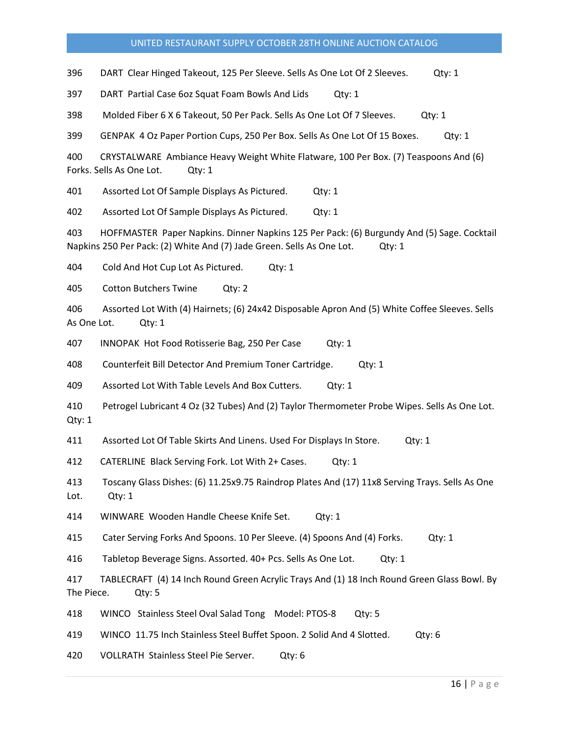396 DART Clear Hinged Takeout, 125 Per Sleeve. Sells As One Lot Of 2 Sleeves. Qty: 1

397 DART Partial Case 6oz Squat Foam Bowls And Lids Qty: 1

398 Molded Fiber 6 X 6 Takeout, 50 Per Pack. Sells As One Lot Of 7 Sleeves. Qty: 1

399 GENPAK 4 Oz Paper Portion Cups, 250 Per Box. Sells As One Lot Of 15 Boxes. Qty: 1

400 CRYSTALWARE Ambiance Heavy Weight White Flatware, 100 Per Box. (7) Teaspoons And (6) Forks. Sells As One Lot. Qty: 1

401 Assorted Lot Of Sample Displays As Pictured. Qty: 1

402 Assorted Lot Of Sample Displays As Pictured. Qty: 1

403 HOFFMASTER Paper Napkins. Dinner Napkins 125 Per Pack: (6) Burgundy And (5) Sage. Cocktail Napkins 250 Per Pack: (2) White And (7) Jade Green. Sells As One Lot. Qty: 1

404 Cold And Hot Cup Lot As Pictured. Qty: 1

405 Cotton Butchers Twine Qty: 2

406 Assorted Lot With (4) Hairnets; (6) 24x42 Disposable Apron And (5) White Coffee Sleeves. Sells As One Lot. Qty: 1

407 INNOPAK Hot Food Rotisserie Bag, 250 Per Case Qty: 1

408 Counterfeit Bill Detector And Premium Toner Cartridge. Qty: 1

409 Assorted Lot With Table Levels And Box Cutters. Qty: 1

410 Petrogel Lubricant 4 Oz (32 Tubes) And (2) Taylor Thermometer Probe Wipes. Sells As One Lot. Qty: 1

411 Assorted Lot Of Table Skirts And Linens. Used For Displays In Store. Qty: 1

412 CATERLINE Black Serving Fork. Lot With 2+ Cases. Qty: 1

413 Toscany Glass Dishes: (6) 11.25x9.75 Raindrop Plates And (17) 11x8 Serving Trays. Sells As One Lot. Qty: 1

414 WINWARE Wooden Handle Cheese Knife Set. Qty: 1

415 Cater Serving Forks And Spoons. 10 Per Sleeve. (4) Spoons And (4) Forks. Qty: 1

416 Tabletop Beverage Signs. Assorted. 40+ Pcs. Sells As One Lot. Qty: 1

417 TABLECRAFT (4) 14 Inch Round Green Acrylic Trays And (1) 18 Inch Round Green Glass Bowl. By The Piece. Qty: 5

418 WINCO Stainless Steel Oval Salad Tong Model: PTOS-8 Qty: 5

419 WINCO 11.75 Inch Stainless Steel Buffet Spoon. 2 Solid And 4 Slotted. Qty: 6

420 VOLLRATH Stainless Steel Pie Server. Qty: 6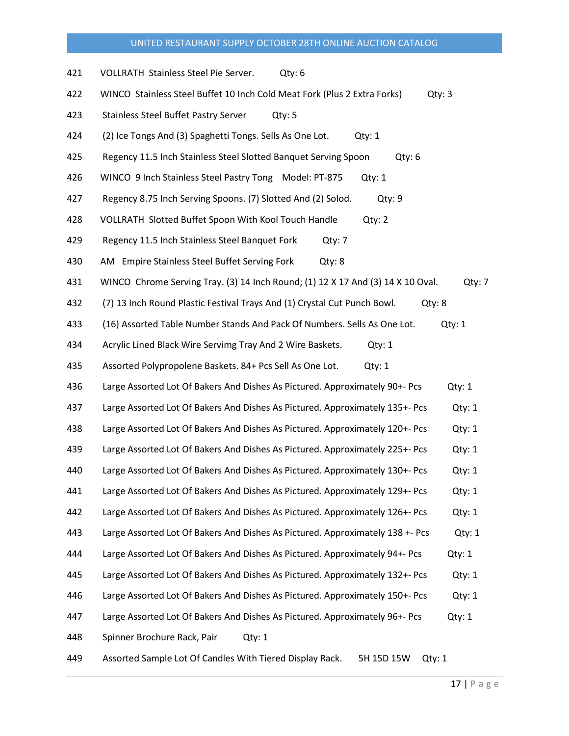| 421 | VOLLRATH Stainless Steel Pie Server.<br>Qty: 6                                            |
|-----|-------------------------------------------------------------------------------------------|
| 422 | WINCO Stainless Steel Buffet 10 Inch Cold Meat Fork (Plus 2 Extra Forks)<br>Qty: 3        |
| 423 | <b>Stainless Steel Buffet Pastry Server</b><br>Qty: 5                                     |
| 424 | (2) Ice Tongs And (3) Spaghetti Tongs. Sells As One Lot.<br>Qty: 1                        |
| 425 | Regency 11.5 Inch Stainless Steel Slotted Banquet Serving Spoon<br>Qty: 6                 |
| 426 | WINCO 9 Inch Stainless Steel Pastry Tong Model: PT-875<br>Qty: 1                          |
| 427 | Regency 8.75 Inch Serving Spoons. (7) Slotted And (2) Solod.<br>Qty: 9                    |
| 428 | VOLLRATH Slotted Buffet Spoon With Kool Touch Handle<br>Qty: 2                            |
| 429 | Regency 11.5 Inch Stainless Steel Banquet Fork<br>Qty: 7                                  |
| 430 | AM Empire Stainless Steel Buffet Serving Fork<br>Qty: 8                                   |
| 431 | WINCO Chrome Serving Tray. (3) 14 Inch Round; (1) 12 X 17 And (3) 14 X 10 Oval.<br>Qty: 7 |
| 432 | (7) 13 Inch Round Plastic Festival Trays And (1) Crystal Cut Punch Bowl.<br>Qty: 8        |
| 433 | (16) Assorted Table Number Stands And Pack Of Numbers. Sells As One Lot.<br>Qty: 1        |
| 434 | Acrylic Lined Black Wire Servimg Tray And 2 Wire Baskets.<br>Qty: 1                       |
| 435 | Assorted Polypropolene Baskets. 84+ Pcs Sell As One Lot.<br>Qty: 1                        |
| 436 | Large Assorted Lot Of Bakers And Dishes As Pictured. Approximately 90+- Pcs<br>Qty: 1     |
| 437 | Large Assorted Lot Of Bakers And Dishes As Pictured. Approximately 135+- Pcs<br>Qty: 1    |
| 438 | Large Assorted Lot Of Bakers And Dishes As Pictured. Approximately 120+- Pcs<br>Qty: 1    |
| 439 | Large Assorted Lot Of Bakers And Dishes As Pictured. Approximately 225+- Pcs<br>Qty: 1    |
| 440 | Large Assorted Lot Of Bakers And Dishes As Pictured. Approximately 130+- Pcs<br>Qty: 1    |
| 441 | Large Assorted Lot Of Bakers And Dishes As Pictured. Approximately 129+- Pcs<br>Qty: 1    |
| 442 | Large Assorted Lot Of Bakers And Dishes As Pictured. Approximately 126+- Pcs<br>Qty: 1    |
| 443 | Large Assorted Lot Of Bakers And Dishes As Pictured. Approximately 138 +- Pcs<br>Qty: 1   |
| 444 | Large Assorted Lot Of Bakers And Dishes As Pictured. Approximately 94+- Pcs<br>Qty: 1     |
| 445 | Large Assorted Lot Of Bakers And Dishes As Pictured. Approximately 132+- Pcs<br>Qty: 1    |
| 446 | Large Assorted Lot Of Bakers And Dishes As Pictured. Approximately 150+- Pcs<br>Qty: 1    |
| 447 | Large Assorted Lot Of Bakers And Dishes As Pictured. Approximately 96+- Pcs<br>Qty: 1     |
| 448 | Spinner Brochure Rack, Pair<br>Qty: 1                                                     |
| 449 | Assorted Sample Lot Of Candles With Tiered Display Rack.<br>5H 15D 15W<br>Qty: 1          |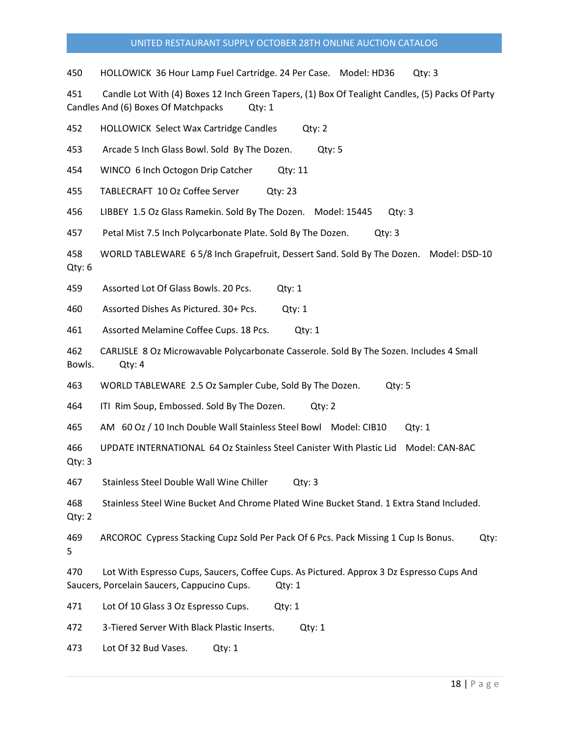450 HOLLOWICK 36 Hour Lamp Fuel Cartridge. 24 Per Case. Model: HD36 Qty: 3

451 Candle Lot With (4) Boxes 12 Inch Green Tapers, (1) Box Of Tealight Candles, (5) Packs Of Party Candles And (6) Boxes Of Matchpacks Qty: 1

452 HOLLOWICK Select Wax Cartridge Candles Qty: 2

453 Arcade 5 Inch Glass Bowl. Sold By The Dozen. Qty: 5

454 WINCO 6 Inch Octogon Drip Catcher Qty: 11

455 TABLECRAFT 10 Oz Coffee Server Qty: 23

456 LIBBEY 1.5 Oz Glass Ramekin. Sold By The Dozen. Model: 15445 Qty: 3

457 Petal Mist 7.5 Inch Polycarbonate Plate. Sold By The Dozen. Qty: 3

458 WORLD TABLEWARE 6 5/8 Inch Grapefruit, Dessert Sand. Sold By The Dozen. Model: DSD-10 Qty: 6

459 Assorted Lot Of Glass Bowls. 20 Pcs. Qty: 1

460 Assorted Dishes As Pictured. 30+ Pcs. Qty: 1

461 Assorted Melamine Coffee Cups. 18 Pcs. Qty: 1

462 CARLISLE 8 Oz Microwavable Polycarbonate Casserole. Sold By The Sozen. Includes 4 Small Bowls. Qty: 4

463 WORLD TABLEWARE 2.5 Oz Sampler Cube, Sold By The Dozen. Qty: 5

464 ITI Rim Soup, Embossed. Sold By The Dozen. Qty: 2

465 AM 60 Oz / 10 Inch Double Wall Stainless Steel Bowl Model: CIB10 Qty: 1

466 UPDATE INTERNATIONAL 64 Oz Stainless Steel Canister With Plastic Lid Model: CAN-8AC Qty: 3

467 Stainless Steel Double Wall Wine Chiller Qty: 3

468 Stainless Steel Wine Bucket And Chrome Plated Wine Bucket Stand. 1 Extra Stand Included. Qty: 2

469 ARCOROC Cypress Stacking Cupz Sold Per Pack Of 6 Pcs. Pack Missing 1 Cup Is Bonus. Qty: 5

470 Lot With Espresso Cups, Saucers, Coffee Cups. As Pictured. Approx 3 Dz Espresso Cups And Saucers, Porcelain Saucers, Cappucino Cups. Qty: 1

471 Lot Of 10 Glass 3 Oz Espresso Cups. Qty: 1

472 3-Tiered Server With Black Plastic Inserts. Qty: 1

473 Lot Of 32 Bud Vases. Qty: 1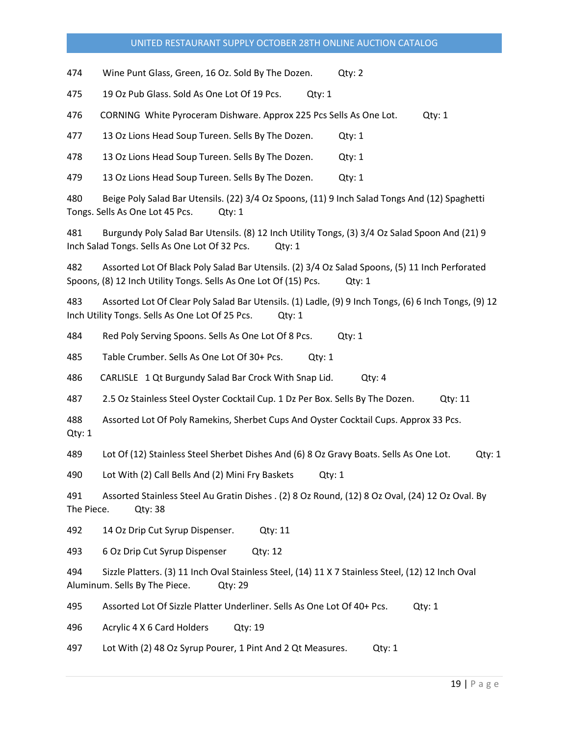474 Wine Punt Glass, Green, 16 Oz. Sold By The Dozen. Qty: 2

475 19 Oz Pub Glass. Sold As One Lot Of 19 Pcs. Qty: 1

476 CORNING White Pyroceram Dishware. Approx 225 Pcs Sells As One Lot. Qty: 1

477 13 Oz Lions Head Soup Tureen. Sells By The Dozen. Qty: 1

478 13 Oz Lions Head Soup Tureen. Sells By The Dozen. Qty: 1

479 13 Oz Lions Head Soup Tureen. Sells By The Dozen. Qty: 1

480 Beige Poly Salad Bar Utensils. (22) 3/4 Oz Spoons, (11) 9 Inch Salad Tongs And (12) Spaghetti Tongs. Sells As One Lot 45 Pcs. Qty: 1

481 Burgundy Poly Salad Bar Utensils. (8) 12 Inch Utility Tongs, (3) 3/4 Oz Salad Spoon And (21) 9 Inch Salad Tongs. Sells As One Lot Of 32 Pcs. Qty: 1

482 Assorted Lot Of Black Poly Salad Bar Utensils. (2) 3/4 Oz Salad Spoons, (5) 11 Inch Perforated Spoons, (8) 12 Inch Utility Tongs. Sells As One Lot Of (15) Pcs. Qty: 1

483 Assorted Lot Of Clear Poly Salad Bar Utensils. (1) Ladle, (9) 9 Inch Tongs, (6) 6 Inch Tongs, (9) 12 Inch Utility Tongs. Sells As One Lot Of 25 Pcs. Qty: 1

484 Red Poly Serving Spoons. Sells As One Lot Of 8 Pcs. Qty: 1

485 Table Crumber. Sells As One Lot Of 30+ Pcs. Qty: 1

486 CARLISLE 1 Qt Burgundy Salad Bar Crock With Snap Lid. Qty: 4

487 2.5 Oz Stainless Steel Oyster Cocktail Cup. 1 Dz Per Box. Sells By The Dozen. Qty: 11

488 Assorted Lot Of Poly Ramekins, Sherbet Cups And Oyster Cocktail Cups. Approx 33 Pcs. Qty: 1

489 Lot Of (12) Stainless Steel Sherbet Dishes And (6) 8 Oz Gravy Boats. Sells As One Lot. Qty: 1

490 Lot With (2) Call Bells And (2) Mini Fry Baskets Qty: 1

491 Assorted Stainless Steel Au Gratin Dishes . (2) 8 Oz Round, (12) 8 Oz Oval, (24) 12 Oz Oval. By The Piece. Qty: 38

492 14 Oz Drip Cut Syrup Dispenser. Qty: 11

493 6 Oz Drip Cut Syrup Dispenser Qty: 12

494 Sizzle Platters. (3) 11 Inch Oval Stainless Steel, (14) 11 X 7 Stainless Steel, (12) 12 Inch Oval Aluminum. Sells By The Piece. Qty: 29

495 Assorted Lot Of Sizzle Platter Underliner. Sells As One Lot Of 40+ Pcs. Qty: 1

496 Acrylic 4 X 6 Card Holders Qty: 19

497 Lot With (2) 48 Oz Syrup Pourer, 1 Pint And 2 Qt Measures. Qty: 1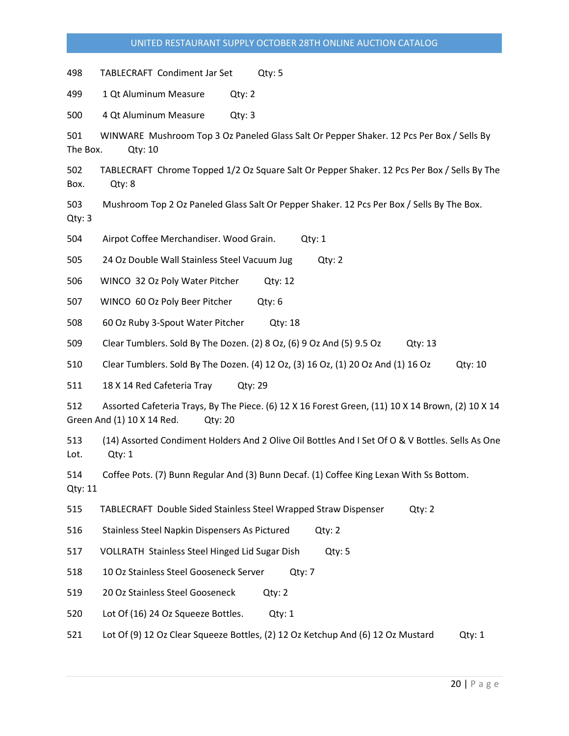498 TABLECRAFT Condiment Jar Set Qty: 5

499 1 Qt Aluminum Measure Qty: 2

500 4 Qt Aluminum Measure Qty: 3

501 WINWARE Mushroom Top 3 Oz Paneled Glass Salt Or Pepper Shaker. 12 Pcs Per Box / Sells By The Box. Qty: 10

502 TABLECRAFT Chrome Topped 1/2 Oz Square Salt Or Pepper Shaker. 12 Pcs Per Box / Sells By The Box. Qty: 8

503 Mushroom Top 2 Oz Paneled Glass Salt Or Pepper Shaker. 12 Pcs Per Box / Sells By The Box. Qty: 3

504 Airpot Coffee Merchandiser. Wood Grain. Qty: 1

505 24 Oz Double Wall Stainless Steel Vacuum Jug Qty: 2

506 WINCO 32 Oz Poly Water Pitcher Qty: 12

507 WINCO 60 Oz Poly Beer Pitcher Qty: 6

508 60 Oz Ruby 3-Spout Water Pitcher Qty: 18

509 Clear Tumblers. Sold By The Dozen. (2) 8 Oz, (6) 9 Oz And (5) 9.5 Oz Qty: 13

510 Clear Tumblers. Sold By The Dozen. (4) 12 Oz, (3) 16 Oz, (1) 20 Oz And (1) 16 Oz Qty: 10

511 18 X 14 Red Cafeteria Tray Qty: 29

512 Assorted Cafeteria Trays, By The Piece. (6) 12 X 16 Forest Green, (11) 10 X 14 Brown, (2) 10 X 14 Green And (1) 10 X 14 Red. Qty: 20

513 (14) Assorted Condiment Holders And 2 Olive Oil Bottles And I Set Of O & V Bottles. Sells As One Lot. Qty: 1

514 Coffee Pots. (7) Bunn Regular And (3) Bunn Decaf. (1) Coffee King Lexan With Ss Bottom. Qty: 11

515 TABLECRAFT Double Sided Stainless Steel Wrapped Straw Dispenser Qty: 2

516 Stainless Steel Napkin Dispensers As Pictured Qty: 2

517 VOLLRATH Stainless Steel Hinged Lid Sugar Dish Qty: 5

518 10 Oz Stainless Steel Gooseneck Server Qty: 7

519 20 Oz Stainless Steel Gooseneck Qty: 2

520 Lot Of (16) 24 Oz Squeeze Bottles. Qty: 1

521 Lot Of (9) 12 Oz Clear Squeeze Bottles, (2) 12 Oz Ketchup And (6) 12 Oz Mustard Qty: 1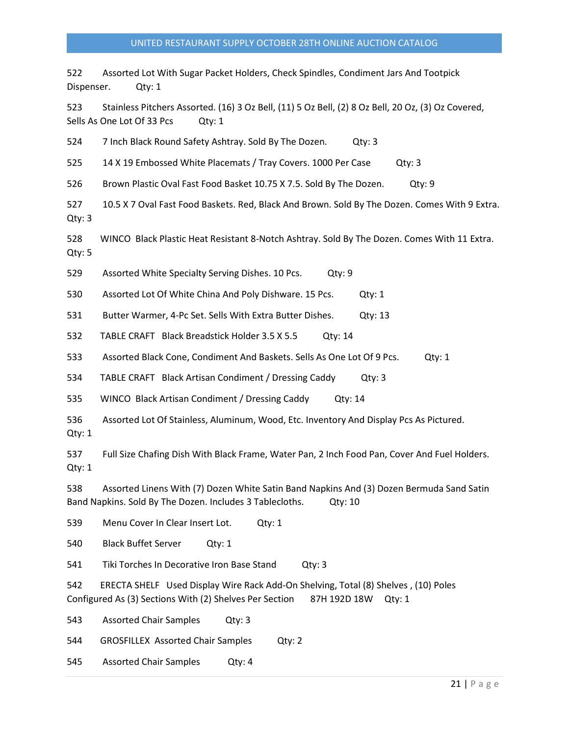522 Assorted Lot With Sugar Packet Holders, Check Spindles, Condiment Jars And Tootpick Dispenser. Qty: 1

523 Stainless Pitchers Assorted. (16) 3 Oz Bell, (11) 5 Oz Bell, (2) 8 Oz Bell, 20 Oz, (3) Oz Covered, Sells As One Lot Of 33 Pcs Qty: 1

524 7 Inch Black Round Safety Ashtray. Sold By The Dozen. Qty: 3

525 14 X 19 Embossed White Placemats / Tray Covers. 1000 Per Case Qty: 3

526 Brown Plastic Oval Fast Food Basket 10.75 X 7.5. Sold By The Dozen. Qty: 9

527 10.5 X 7 Oval Fast Food Baskets. Red, Black And Brown. Sold By The Dozen. Comes With 9 Extra. Qty: 3

528 WINCO Black Plastic Heat Resistant 8-Notch Ashtray. Sold By The Dozen. Comes With 11 Extra. Qty: 5

529 Assorted White Specialty Serving Dishes. 10 Pcs. Qty: 9

530 Assorted Lot Of White China And Poly Dishware. 15 Pcs. Qty: 1

531 Butter Warmer, 4-Pc Set. Sells With Extra Butter Dishes. Qty: 13

532 TABLE CRAFT Black Breadstick Holder 3.5 X 5.5 Qty: 14

533 Assorted Black Cone, Condiment And Baskets. Sells As One Lot Of 9 Pcs. Qty: 1

534 TABLE CRAFT Black Artisan Condiment / Dressing Caddy Qty: 3

535 WINCO Black Artisan Condiment / Dressing Caddy Qty: 14

536 Assorted Lot Of Stainless, Aluminum, Wood, Etc. Inventory And Display Pcs As Pictured. Qty: 1

537 Full Size Chafing Dish With Black Frame, Water Pan, 2 Inch Food Pan, Cover And Fuel Holders. Qty: 1

538 Assorted Linens With (7) Dozen White Satin Band Napkins And (3) Dozen Bermuda Sand Satin Band Napkins. Sold By The Dozen. Includes 3 Tablecloths. Qty: 10

539 Menu Cover In Clear Insert Lot. Qty: 1

540 Black Buffet Server Qty: 1

541 Tiki Torches In Decorative Iron Base Stand Qty: 3

542 ERECTA SHELF Used Display Wire Rack Add-On Shelving, Total (8) Shelves , (10) Poles Configured As (3) Sections With (2) Shelves Per Section 87H 192D 18W Qty: 1

543 Assorted Chair Samples Qty: 3

544 GROSFILLEX Assorted Chair Samples Qty: 2

545 Assorted Chair Samples Qty: 4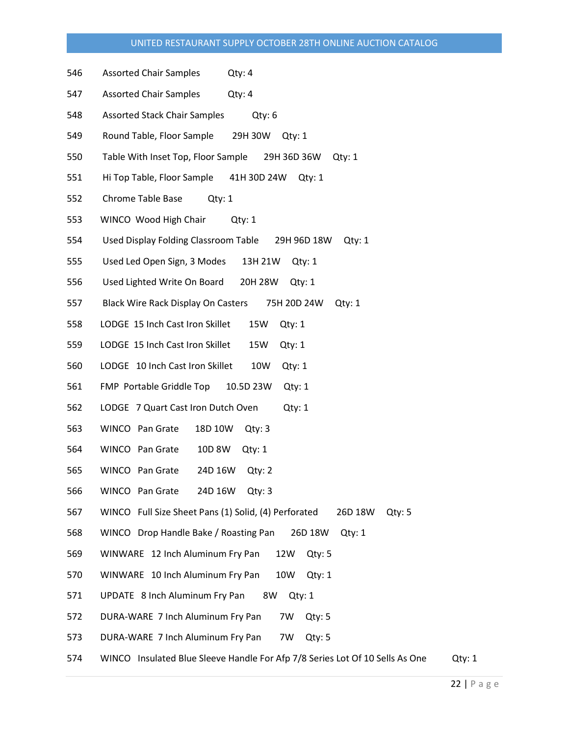- 546 Assorted Chair Samples Qty: 4
- 547 Assorted Chair Samples Qty: 4
- 548 Assorted Stack Chair Samples Qty: 6
- 549 Round Table, Floor Sample 29H 30W Qty: 1
- 550 Table With Inset Top, Floor Sample 29H 36D 36W Qty: 1
- 551 Hi Top Table, Floor Sample 41H 30D 24W Qty: 1
- 552 Chrome Table Base Qty: 1
- 553 WINCO Wood High Chair Qty: 1
- 554 Used Display Folding Classroom Table 29H 96D 18W Qty: 1
- 555 Used Led Open Sign, 3 Modes 13H 21W Qty: 1
- 556 Used Lighted Write On Board 20H 28W Qty: 1
- 557 Black Wire Rack Display On Casters 75H 20D 24W Qty: 1
- 558 LODGE 15 Inch Cast Iron Skillet 15W Qty: 1
- 559 LODGE 15 Inch Cast Iron Skillet 15W Qty: 1
- 560 LODGE 10 Inch Cast Iron Skillet 10W Qty: 1
- 561 FMP Portable Griddle Top 10.5D 23W Qty: 1
- 562 LODGE 7 Quart Cast Iron Dutch Oven Qty: 1
- 563 WINCO Pan Grate 18D 10W Qty: 3
- 564 WINCO Pan Grate 10D 8W Qty: 1
- 565 WINCO Pan Grate 24D 16W Qty: 2
- 566 WINCO Pan Grate 24D 16W Qty: 3
- 567 WINCO Full Size Sheet Pans (1) Solid, (4) Perforated 26D 18W Qty: 5
- 568 WINCO Drop Handle Bake / Roasting Pan 26D 18W Qty: 1
- 569 WINWARE 12 Inch Aluminum Fry Pan 12W Qty: 5
- 570 WINWARE 10 Inch Aluminum Fry Pan 10W Qty: 1
- 571 UPDATE 8 Inch Aluminum Fry Pan 8W Qty: 1
- 572 DURA-WARE 7 Inch Aluminum Fry Pan 7W Qty: 5
- 573 DURA-WARE 7 Inch Aluminum Fry Pan 7W Qty: 5
- 574 WINCO Insulated Blue Sleeve Handle For Afp 7/8 Series Lot Of 10 Sells As One Qty: 1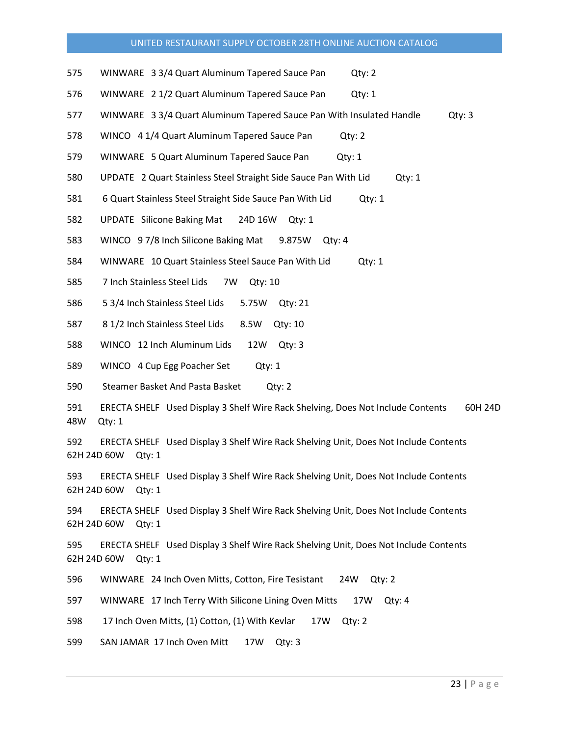- 575 WINWARE 3 3/4 Quart Aluminum Tapered Sauce Pan Qty: 2
- 576 WINWARE 2 1/2 Quart Aluminum Tapered Sauce Pan Qty: 1
- 577 WINWARE 3 3/4 Quart Aluminum Tapered Sauce Pan With Insulated Handle Qty: 3
- 578 WINCO 4 1/4 Quart Aluminum Tapered Sauce Pan Qty: 2
- 579 WINWARE 5 Quart Aluminum Tapered Sauce Pan Qty: 1
- 580 UPDATE 2 Quart Stainless Steel Straight Side Sauce Pan With Lid Qty: 1
- 581 6 Quart Stainless Steel Straight Side Sauce Pan With Lid Cty: 1
- 582 UPDATE Silicone Baking Mat 24D 16W Qty: 1
- 583 WINCO 9 7/8 Inch Silicone Baking Mat 9.875W Qty: 4
- 584 WINWARE 10 Quart Stainless Steel Sauce Pan With Lid Qty: 1
- 585 7 Inch Stainless Steel Lids 7W Qty: 10
- 586 5 3/4 Inch Stainless Steel Lids 5.75W Qty: 21
- 587 8 1/2 Inch Stainless Steel Lids 8.5W Qty: 10
- 588 WINCO 12 Inch Aluminum Lids 12W Qty: 3
- 589 WINCO 4 Cup Egg Poacher Set Qty: 1
- 590 Steamer Basket And Pasta Basket Qty: 2
- 591 ERECTA SHELF Used Display 3 Shelf Wire Rack Shelving, Does Not Include Contents 60H 24D 48W Qty: 1

592 ERECTA SHELF Used Display 3 Shelf Wire Rack Shelving Unit, Does Not Include Contents 62H 24D 60W Qty: 1

593 ERECTA SHELF Used Display 3 Shelf Wire Rack Shelving Unit, Does Not Include Contents 62H 24D 60W Qty: 1

594 ERECTA SHELF Used Display 3 Shelf Wire Rack Shelving Unit, Does Not Include Contents 62H 24D 60W Qty: 1

595 ERECTA SHELF Used Display 3 Shelf Wire Rack Shelving Unit, Does Not Include Contents 62H 24D 60W Qty: 1

596 WINWARE 24 Inch Oven Mitts, Cotton, Fire Tesistant 24W Qty: 2

597 WINWARE 17 Inch Terry With Silicone Lining Oven Mitts 17W Qty: 4

598 17 Inch Oven Mitts, (1) Cotton, (1) With Kevlar 17W Qty: 2

599 SAN JAMAR 17 Inch Oven Mitt 17W Qty: 3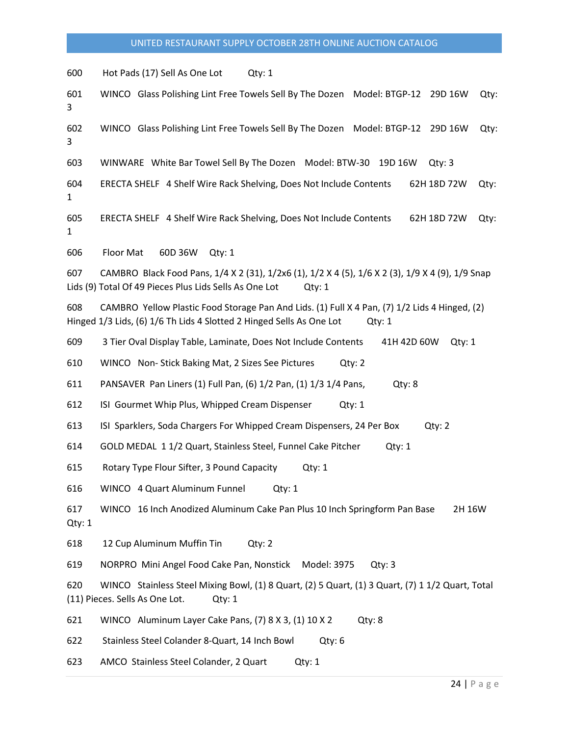600 Hot Pads (17) Sell As One Lot Qty: 1

601 WINCO Glass Polishing Lint Free Towels Sell By The Dozen Model: BTGP-12 29D 16W Qty: 3

602 WINCO Glass Polishing Lint Free Towels Sell By The Dozen Model: BTGP-12 29D 16W Qty: 3

603 WINWARE White Bar Towel Sell By The Dozen Model: BTW-30 19D 16W Qty: 3

604 ERECTA SHELF 4 Shelf Wire Rack Shelving, Does Not Include Contents 62H 18D 72W Qty: 1

605 ERECTA SHELF 4 Shelf Wire Rack Shelving, Does Not Include Contents 62H 18D 72W Qty: 1

606 Floor Mat 60D 36W Qty: 1

607 CAMBRO Black Food Pans, 1/4 X 2 (31), 1/2x6 (1), 1/2 X 4 (5), 1/6 X 2 (3), 1/9 X 4 (9), 1/9 Snap Lids (9) Total Of 49 Pieces Plus Lids Sells As One Lot Qty: 1

608 CAMBRO Yellow Plastic Food Storage Pan And Lids. (1) Full X 4 Pan, (7) 1/2 Lids 4 Hinged, (2) Hinged 1/3 Lids, (6) 1/6 Th Lids 4 Slotted 2 Hinged Sells As One Lot Qty: 1

609 3 Tier Oval Display Table, Laminate, Does Not Include Contents 41H 42D 60W Qty: 1

610 WINCO Non- Stick Baking Mat, 2 Sizes See Pictures Qty: 2

611 PANSAVER Pan Liners (1) Full Pan, (6) 1/2 Pan, (1) 1/3 1/4 Pans, Qty: 8

612 ISI Gourmet Whip Plus, Whipped Cream Dispenser Qty: 1

613 ISI Sparklers, Soda Chargers For Whipped Cream Dispensers, 24 Per Box Qty: 2

614 GOLD MEDAL 1 1/2 Quart, Stainless Steel, Funnel Cake Pitcher Qty: 1

615 Rotary Type Flour Sifter, 3 Pound Capacity Qty: 1

616 WINCO 4 Quart Aluminum Funnel Qty: 1

617 WINCO 16 Inch Anodized Aluminum Cake Pan Plus 10 Inch Springform Pan Base 2H 16W Qty: 1

618 12 Cup Aluminum Muffin Tin Qty: 2

619 NORPRO Mini Angel Food Cake Pan, Nonstick Model: 3975 Qty: 3

620 WINCO Stainless Steel Mixing Bowl, (1) 8 Quart, (2) 5 Quart, (1) 3 Quart, (7) 1 1/2 Quart, Total (11) Pieces. Sells As One Lot. Qty: 1

621 WINCO Aluminum Layer Cake Pans, (7) 8 X 3, (1) 10 X 2 Qty: 8

622 Stainless Steel Colander 8-Quart, 14 Inch Bowl Qty: 6

623 AMCO Stainless Steel Colander, 2 Quart Qty: 1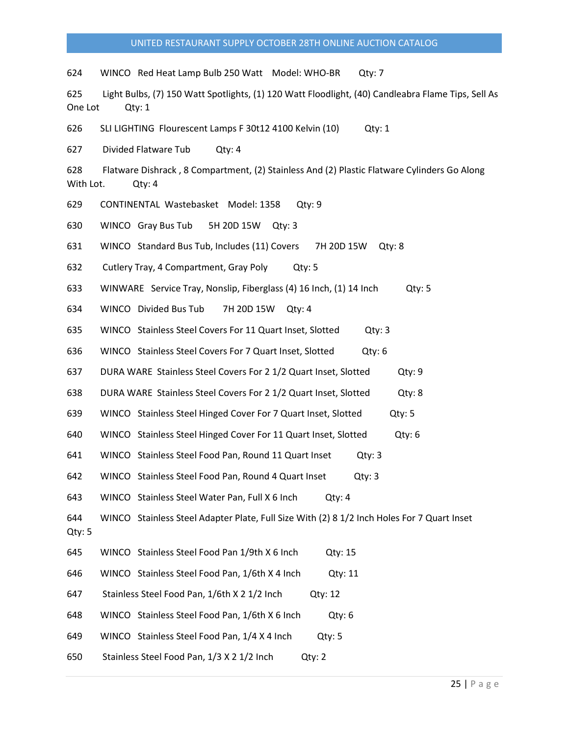624 WINCO Red Heat Lamp Bulb 250 Watt Model: WHO-BR Qty: 7

625 Light Bulbs, (7) 150 Watt Spotlights, (1) 120 Watt Floodlight, (40) Candleabra Flame Tips, Sell As One Lot Qty: 1

626 SLI LIGHTING Flourescent Lamps F 30t12 4100 Kelvin (10) Qty: 1

627 Divided Flatware Tub Qty: 4

628 Flatware Dishrack , 8 Compartment, (2) Stainless And (2) Plastic Flatware Cylinders Go Along With Lot. Qty: 4

629 CONTINENTAL Wastebasket Model: 1358 Qty: 9

630 WINCO Gray Bus Tub 5H 20D 15W Qty: 3

631 WINCO Standard Bus Tub, Includes (11) Covers 7H 20D 15W Qty: 8

632 Cutlery Tray, 4 Compartment, Gray Poly Qty: 5

633 WINWARE Service Tray, Nonslip, Fiberglass (4) 16 Inch, (1) 14 Inch Qty: 5

634 WINCO Divided Bus Tub 7H 20D 15W Qty: 4

635 WINCO Stainless Steel Covers For 11 Quart Inset, Slotted Qty: 3

636 WINCO Stainless Steel Covers For 7 Quart Inset, Slotted Qty: 6

637 DURA WARE Stainless Steel Covers For 2 1/2 Quart Inset, Slotted Qty: 9

- 638 DURA WARE Stainless Steel Covers For 2 1/2 Quart Inset, Slotted Qty: 8
- 639 WINCO Stainless Steel Hinged Cover For 7 Quart Inset, Slotted Qty: 5
- 640 WINCO Stainless Steel Hinged Cover For 11 Quart Inset, Slotted Qty: 6
- 641 WINCO Stainless Steel Food Pan, Round 11 Quart Inset Qty: 3

642 WINCO Stainless Steel Food Pan, Round 4 Quart Inset Qty: 3

643 WINCO Stainless Steel Water Pan, Full X 6 Inch Qty: 4

644 WINCO Stainless Steel Adapter Plate, Full Size With (2) 8 1/2 Inch Holes For 7 Quart Inset Qty: 5

- 645 WINCO Stainless Steel Food Pan 1/9th X 6 Inch Qty: 15
- 646 WINCO Stainless Steel Food Pan, 1/6th X 4 Inch Qty: 11
- 647 Stainless Steel Food Pan, 1/6th X 2 1/2 Inch Qty: 12

648 WINCO Stainless Steel Food Pan, 1/6th X 6 Inch Qty: 6

- 649 WINCO Stainless Steel Food Pan, 1/4 X 4 Inch Qty: 5
- 650 Stainless Steel Food Pan, 1/3 X 2 1/2 Inch Qty: 2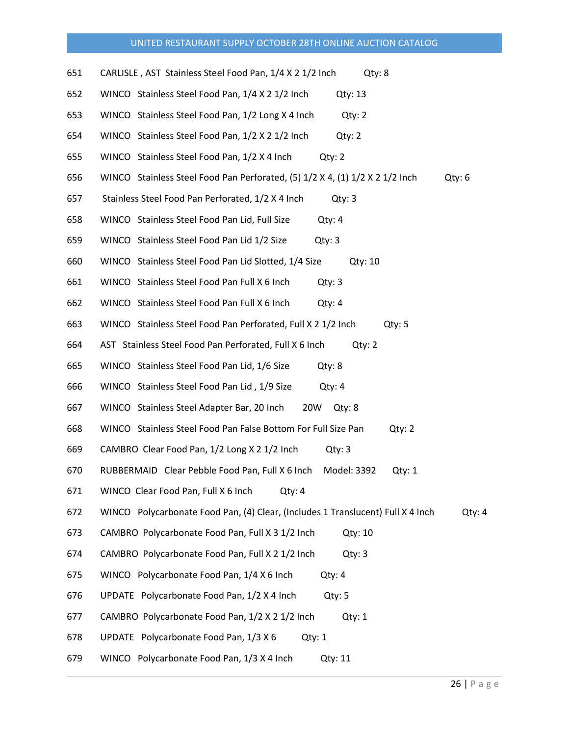| 651 | CARLISLE, AST Stainless Steel Food Pan, 1/4 X 2 1/2 Inch<br>Qty: 8                         |
|-----|--------------------------------------------------------------------------------------------|
| 652 | WINCO Stainless Steel Food Pan, 1/4 X 2 1/2 Inch<br>Qty: 13                                |
| 653 | WINCO Stainless Steel Food Pan, 1/2 Long X 4 Inch<br>Qty: 2                                |
| 654 | WINCO Stainless Steel Food Pan, 1/2 X 2 1/2 Inch<br>Qty: 2                                 |
| 655 | WINCO Stainless Steel Food Pan, 1/2 X 4 Inch<br>Qty: 2                                     |
| 656 | Qty: 6<br>WINCO Stainless Steel Food Pan Perforated, $(5)$ 1/2 X 4, $(1)$ 1/2 X 2 1/2 Inch |
| 657 | Stainless Steel Food Pan Perforated, 1/2 X 4 Inch<br>Qty: 3                                |
| 658 | WINCO Stainless Steel Food Pan Lid, Full Size<br>Qty: 4                                    |
| 659 | WINCO Stainless Steel Food Pan Lid 1/2 Size<br>Qty: 3                                      |
| 660 | WINCO Stainless Steel Food Pan Lid Slotted, 1/4 Size<br>Qty: 10                            |
| 661 | WINCO Stainless Steel Food Pan Full X 6 Inch<br>Qty: 3                                     |
| 662 | WINCO Stainless Steel Food Pan Full X 6 Inch<br>Qty: 4                                     |
| 663 | WINCO Stainless Steel Food Pan Perforated, Full X 2 1/2 Inch<br>Qty: 5                     |
| 664 | AST Stainless Steel Food Pan Perforated, Full X 6 Inch<br>Qty: 2                           |
| 665 | WINCO Stainless Steel Food Pan Lid, 1/6 Size<br>Qty: 8                                     |
| 666 | WINCO Stainless Steel Food Pan Lid, 1/9 Size<br>Qty: 4                                     |
| 667 | WINCO Stainless Steel Adapter Bar, 20 Inch<br>20W<br>Qty: 8                                |
| 668 | WINCO Stainless Steel Food Pan False Bottom For Full Size Pan<br>Qty: 2                    |
| 669 | CAMBRO Clear Food Pan, 1/2 Long X 2 1/2 Inch<br>Qty: 3                                     |
| 670 | RUBBERMAID Clear Pebble Food Pan, Full X 6 Inch<br>Model: 3392<br>Qty: 1                   |
| 671 | WINCO Clear Food Pan, Full X 6 Inch<br>Qty: 4                                              |
| 672 | WINCO Polycarbonate Food Pan, (4) Clear, (Includes 1 Translucent) Full X 4 Inch<br>Qty: 4  |
| 673 | CAMBRO Polycarbonate Food Pan, Full X 3 1/2 Inch<br>Qty: 10                                |
| 674 | CAMBRO Polycarbonate Food Pan, Full X 2 1/2 Inch<br>Qty: 3                                 |
| 675 | WINCO Polycarbonate Food Pan, 1/4 X 6 Inch<br>Qty: 4                                       |
| 676 | UPDATE Polycarbonate Food Pan, 1/2 X 4 Inch<br>Qty: 5                                      |
| 677 | CAMBRO Polycarbonate Food Pan, 1/2 X 2 1/2 Inch<br>Qty: 1                                  |
| 678 | UPDATE Polycarbonate Food Pan, 1/3 X 6<br>Qty: 1                                           |
| 679 | WINCO Polycarbonate Food Pan, 1/3 X 4 Inch<br>Qty: 11                                      |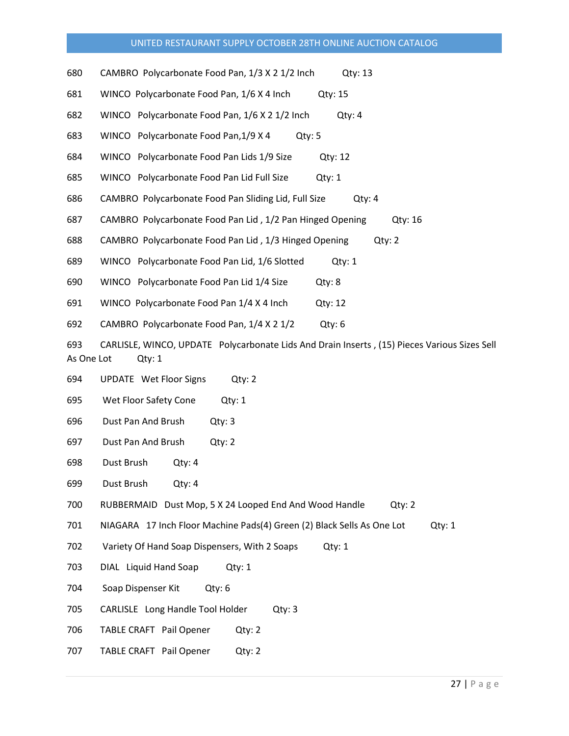- 680 CAMBRO Polycarbonate Food Pan, 1/3 X 2 1/2 Inch Qty: 13
- 681 WINCO Polycarbonate Food Pan, 1/6 X 4 Inch Qty: 15
- 682 WINCO Polycarbonate Food Pan, 1/6 X 2 1/2 Inch Qty: 4
- 683 WINCO Polycarbonate Food Pan,1/9 X 4 Qty: 5
- 684 WINCO Polycarbonate Food Pan Lids 1/9 Size Qty: 12
- 685 WINCO Polycarbonate Food Pan Lid Full Size Qty: 1
- 686 CAMBRO Polycarbonate Food Pan Sliding Lid, Full Size Qty: 4
- 687 CAMBRO Polycarbonate Food Pan Lid, 1/2 Pan Hinged Opening Qty: 16
- 688 CAMBRO Polycarbonate Food Pan Lid, 1/3 Hinged Opening Qty: 2
- 689 WINCO Polycarbonate Food Pan Lid, 1/6 Slotted Qty: 1
- 690 WINCO Polycarbonate Food Pan Lid 1/4 Size Qty: 8
- 691 WINCO Polycarbonate Food Pan 1/4 X 4 Inch Qty: 12
- 692 CAMBRO Polycarbonate Food Pan, 1/4 X 2 1/2 Qty: 6
- 693 CARLISLE, WINCO, UPDATE Polycarbonate Lids And Drain Inserts , (15) Pieces Various Sizes Sell As One Lot Qty: 1
- 694 UPDATE Wet Floor Signs Qty: 2
- 695 Wet Floor Safety Cone Qty: 1
- 696 Dust Pan And Brush Qty: 3
- 697 Dust Pan And Brush Qty: 2
- 698 Dust Brush Qty: 4
- 699 Dust Brush Qty: 4
- 700 RUBBERMAID Dust Mop, 5 X 24 Looped End And Wood Handle Qty: 2
- 701 NIAGARA 17 Inch Floor Machine Pads(4) Green (2) Black Sells As One Lot Qty: 1
- 702 Variety Of Hand Soap Dispensers, With 2 Soaps Qty: 1
- 703 DIAL Liquid Hand Soap Qty: 1
- 704 Soap Dispenser Kit Qty: 6
- 705 CARLISLE Long Handle Tool Holder Qty: 3
- 706 TABLE CRAFT Pail Opener Qty: 2
- 707 TABLE CRAFT Pail Opener Qty: 2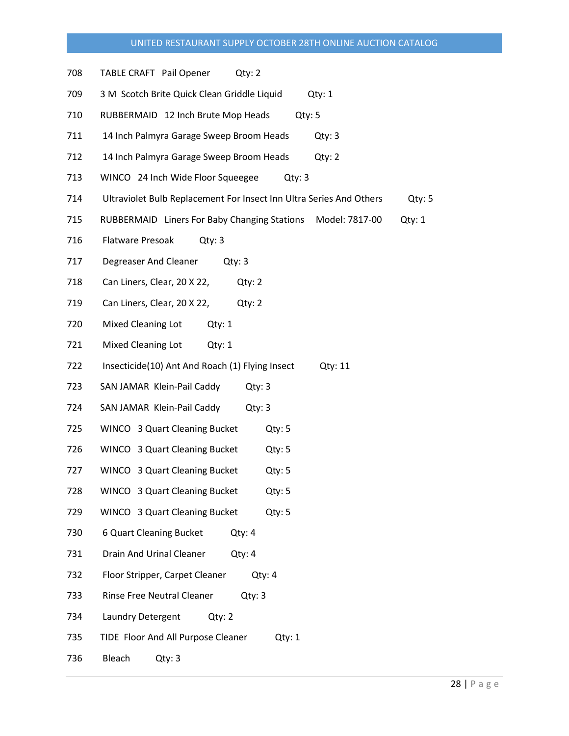- 708 TABLE CRAFT Pail Opener Qty: 2
- 709 3 M Scotch Brite Quick Clean Griddle Liquid Qty: 1
- 710 RUBBERMAID 12 Inch Brute Mop Heads Qty: 5
- 711 14 Inch Palmyra Garage Sweep Broom Heads Qty: 3
- 712 14 Inch Palmyra Garage Sweep Broom Heads Qty: 2
- 713 WINCO 24 Inch Wide Floor Squeegee Qty: 3
- 714 Ultraviolet Bulb Replacement For Insect Inn Ultra Series And Others Qty: 5
- 715 RUBBERMAID Liners For Baby Changing Stations Model: 7817-00 Qty: 1
- 716 Flatware Presoak Qty: 3
- 717 Degreaser And Cleaner Qty: 3
- 718 Can Liners, Clear, 20 X 22, Qty: 2
- 719 Can Liners, Clear, 20 X 22, Qty: 2
- 720 Mixed Cleaning Lot Qty: 1
- 721 Mixed Cleaning Lot Qty: 1
- 722 Insecticide(10) Ant And Roach (1) Flying Insect Qty: 11
- 723 SAN JAMAR Klein-Pail Caddy Qty: 3
- 724 SAN JAMAR Klein-Pail Caddy Qty: 3
- 725 WINCO 3 Quart Cleaning Bucket Qty: 5
- 726 WINCO 3 Quart Cleaning Bucket Qty: 5
- 727 WINCO 3 Quart Cleaning Bucket Qty: 5
- 728 WINCO 3 Quart Cleaning Bucket Qty: 5
- 729 WINCO 3 Quart Cleaning Bucket Qty: 5
- 730 6 Quart Cleaning Bucket Qty: 4
- 731 Drain And Urinal Cleaner Qty: 4
- 732 Floor Stripper, Carpet Cleaner Qty: 4
- 733 Rinse Free Neutral Cleaner Qty: 3
- 734 Laundry Detergent Qty: 2
- 735 TIDE Floor And All Purpose Cleaner Qty: 1
- 736 Bleach Qty: 3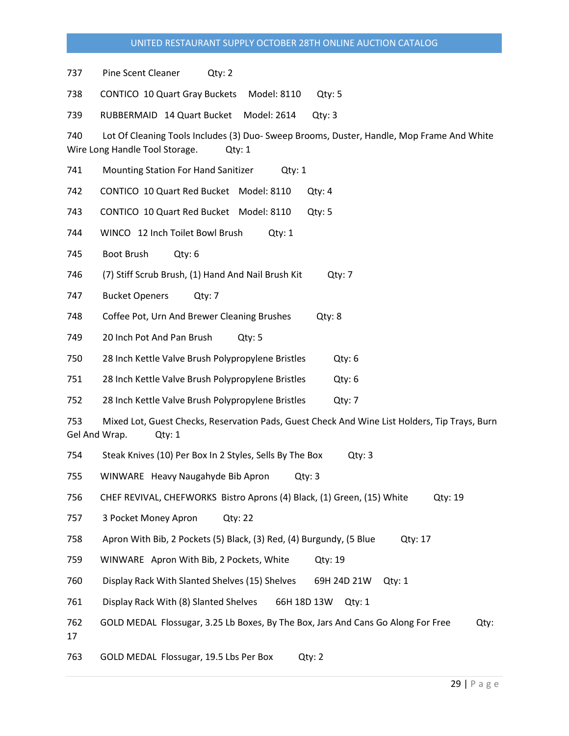737 Pine Scent Cleaner Qty: 2

738 CONTICO 10 Quart Gray Buckets Model: 8110 Qty: 5

739 RUBBERMAID 14 Quart Bucket Model: 2614 Qty: 3

740 Lot Of Cleaning Tools Includes (3) Duo- Sweep Brooms, Duster, Handle, Mop Frame And White Wire Long Handle Tool Storage. Qty: 1

741 Mounting Station For Hand Sanitizer Qty: 1

742 CONTICO 10 Quart Red Bucket Model: 8110 Qty: 4

743 CONTICO 10 Quart Red Bucket Model: 8110 Qty: 5

744 WINCO 12 Inch Toilet Bowl Brush Qty: 1

745 Boot Brush Qty: 6

746 (7) Stiff Scrub Brush, (1) Hand And Nail Brush Kit Qty: 7

747 Bucket Openers Qty: 7

748 Coffee Pot, Urn And Brewer Cleaning Brushes Qty: 8

749 20 Inch Pot And Pan Brush Qty: 5

750 28 Inch Kettle Valve Brush Polypropylene Bristles Qty: 6

751 28 Inch Kettle Valve Brush Polypropylene Bristles Qty: 6

752 28 Inch Kettle Valve Brush Polypropylene Bristles Qty: 7

753 Mixed Lot, Guest Checks, Reservation Pads, Guest Check And Wine List Holders, Tip Trays, Burn Gel And Wrap. Qty: 1

754 Steak Knives (10) Per Box In 2 Styles, Sells By The Box Qty: 3

755 WINWARE Heavy Naugahyde Bib Apron Qty: 3

756 CHEF REVIVAL, CHEFWORKS Bistro Aprons (4) Black, (1) Green, (15) White Qty: 19

757 3 Pocket Money Apron Qty: 22

758 Apron With Bib, 2 Pockets (5) Black, (3) Red, (4) Burgundy, (5 Blue Qty: 17

759 WINWARE Apron With Bib, 2 Pockets, White Qty: 19

760 Display Rack With Slanted Shelves (15) Shelves 69H 24D 21W Qty: 1

761 Display Rack With (8) Slanted Shelves 66H 18D 13W Qty: 1

762 GOLD MEDAL Flossugar, 3.25 Lb Boxes, By The Box, Jars And Cans Go Along For Free Qty:

17

763 GOLD MEDAL Flossugar, 19.5 Lbs Per Box Qty: 2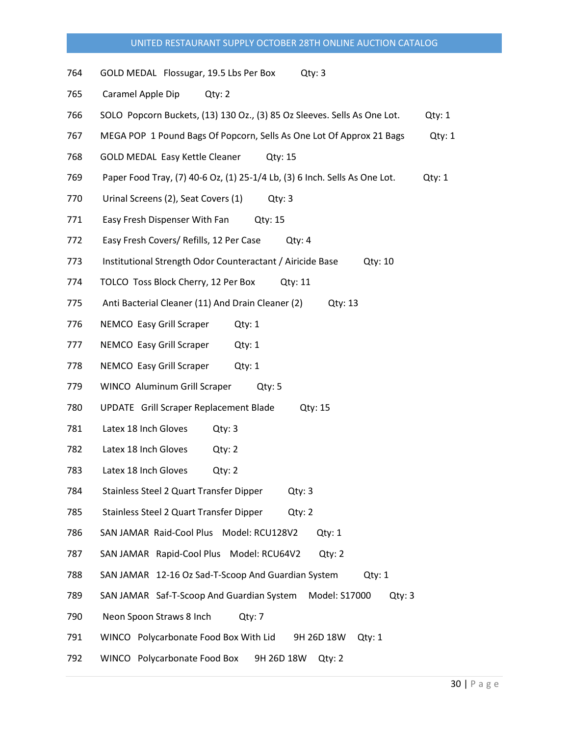- 764 GOLD MEDAL Flossugar, 19.5 Lbs Per Box Qty: 3
- 765 Caramel Apple Dip Qty: 2
- 766 SOLO Popcorn Buckets, (13) 130 Oz., (3) 85 Oz Sleeves. Sells As One Lot. Qty: 1
- 767 MEGA POP 1 Pound Bags Of Popcorn, Sells As One Lot Of Approx 21 Bags Qty: 1
- 768 GOLD MEDAL Easy Kettle Cleaner Qty: 15
- 769 Paper Food Tray, (7) 40-6 Oz, (1) 25-1/4 Lb, (3) 6 Inch. Sells As One Lot. Qty: 1
- 770 Urinal Screens (2), Seat Covers (1) Qty: 3
- 771 Easy Fresh Dispenser With Fan Qty: 15
- 772 Easy Fresh Covers/ Refills, 12 Per Case Qty: 4
- 773 Institutional Strength Odor Counteractant / Airicide Base Qty: 10
- 774 TOLCO Toss Block Cherry, 12 Per Box Qty: 11
- 775 Anti Bacterial Cleaner (11) And Drain Cleaner (2) Qty: 13
- 776 NEMCO Easy Grill Scraper Qty: 1
- 777 NEMCO Easy Grill Scraper Qty: 1
- 778 NEMCO Easy Grill Scraper Qty: 1
- 779 WINCO Aluminum Grill Scraper Qty: 5
- 780 UPDATE Grill Scraper Replacement Blade Qty: 15
- 781 Latex 18 Inch Gloves Qty: 3
- 782 Latex 18 Inch Gloves Qty: 2
- 783 Latex 18 Inch Gloves Qty: 2
- 784 Stainless Steel 2 Quart Transfer Dipper Qty: 3
- 785 Stainless Steel 2 Quart Transfer Dipper Qty: 2
- 786 SAN JAMAR Raid-Cool Plus Model: RCU128V2 Qty: 1
- 787 SAN JAMAR Rapid-Cool Plus Model: RCU64V2 Qty: 2
- 788 SAN JAMAR 12-16 Oz Sad-T-Scoop And Guardian System Qty: 1
- 789 SAN JAMAR Saf-T-Scoop And Guardian System Model: S17000 Qty: 3
- 790 Neon Spoon Straws 8 Inch Qty: 7
- 791 WINCO Polycarbonate Food Box With Lid 9H 26D 18W Qty: 1
- 792 WINCO Polycarbonate Food Box 9H 26D 18W Qty: 2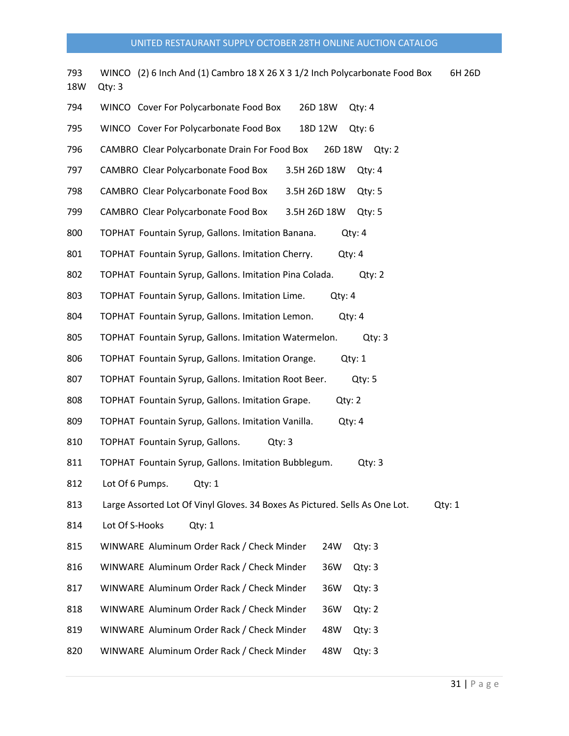| 793<br>18W | WINCO (2) 6 Inch And (1) Cambro 18 X 26 X 3 1/2 Inch Polycarbonate Food Box<br>6H 26D<br>Qty: 3 |
|------------|-------------------------------------------------------------------------------------------------|
| 794        | WINCO Cover For Polycarbonate Food Box<br>26D 18W<br>Qty: 4                                     |
| 795        | WINCO Cover For Polycarbonate Food Box<br>18D 12W<br>Qty: 6                                     |
| 796        | CAMBRO Clear Polycarbonate Drain For Food Box<br>26D 18W Qty: 2                                 |
| 797        | CAMBRO Clear Polycarbonate Food Box<br>3.5H 26D 18W<br>Qty: 4                                   |
| 798        | CAMBRO Clear Polycarbonate Food Box<br>3.5H 26D 18W<br>Qty: 5                                   |
| 799        | CAMBRO Clear Polycarbonate Food Box<br>3.5H 26D 18W Qty: 5                                      |
| 800        | TOPHAT Fountain Syrup, Gallons. Imitation Banana.<br>Qty: 4                                     |
| 801        | TOPHAT Fountain Syrup, Gallons. Imitation Cherry.<br>Qty: 4                                     |
| 802        | TOPHAT Fountain Syrup, Gallons. Imitation Pina Colada.<br>Qty: 2                                |
| 803        | TOPHAT Fountain Syrup, Gallons. Imitation Lime.<br>Qty: 4                                       |
| 804        | TOPHAT Fountain Syrup, Gallons. Imitation Lemon.<br>Qty: 4                                      |
| 805        | TOPHAT Fountain Syrup, Gallons. Imitation Watermelon.<br>Qty: 3                                 |
| 806        | TOPHAT Fountain Syrup, Gallons. Imitation Orange.<br>Qty: 1                                     |
| 807        | TOPHAT Fountain Syrup, Gallons. Imitation Root Beer.<br>Qty: 5                                  |
| 808        | TOPHAT Fountain Syrup, Gallons. Imitation Grape.<br>Qty: 2                                      |
| 809        | TOPHAT Fountain Syrup, Gallons. Imitation Vanilla.<br>Qty: 4                                    |
| 810        | TOPHAT Fountain Syrup, Gallons.<br>Qty: 3                                                       |
| 811        | TOPHAT Fountain Syrup, Gallons. Imitation Bubblegum.<br>Qty: 3                                  |
| 812        | Lot Of 6 Pumps. Qty: 1                                                                          |
| 813        | Large Assorted Lot Of Vinyl Gloves. 34 Boxes As Pictured. Sells As One Lot.<br>Qty: 1           |
| 814        | Lot Of S-Hooks<br>Qty: 1                                                                        |
| 815        | WINWARE Aluminum Order Rack / Check Minder<br>24W<br>Qty: 3                                     |
| 816        | WINWARE Aluminum Order Rack / Check Minder<br>36W<br>Qty: 3                                     |
| 817        | WINWARE Aluminum Order Rack / Check Minder<br>36W<br>Qty: 3                                     |
| 818        | WINWARE Aluminum Order Rack / Check Minder<br>36W<br>Qty: 2                                     |
| 819        | WINWARE Aluminum Order Rack / Check Minder<br>48W<br>Qty: 3                                     |
| 820        | WINWARE Aluminum Order Rack / Check Minder<br>48W<br>Qty: 3                                     |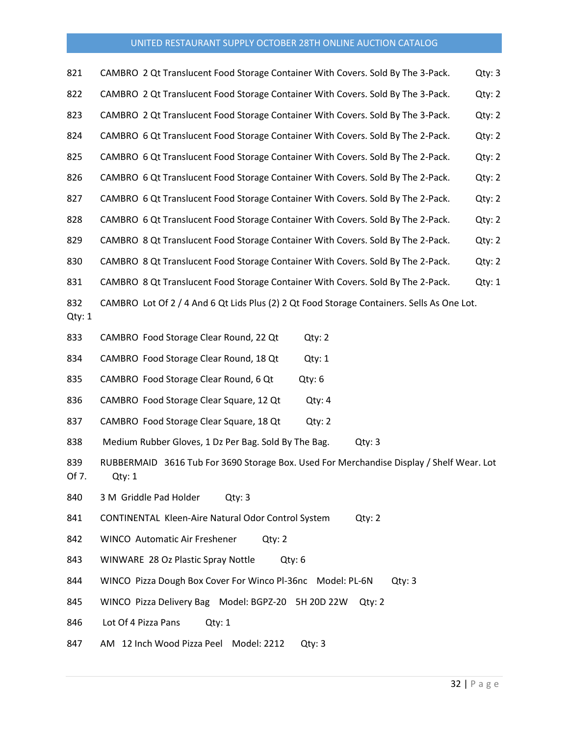| 821           | CAMBRO 2 Qt Translucent Food Storage Container With Covers. Sold By The 3-Pack.                    | Qty: 3 |
|---------------|----------------------------------------------------------------------------------------------------|--------|
| 822           | CAMBRO 2 Qt Translucent Food Storage Container With Covers. Sold By The 3-Pack.                    | Qty: 2 |
| 823           | CAMBRO 2 Qt Translucent Food Storage Container With Covers. Sold By The 3-Pack.                    | Qty: 2 |
| 824           | CAMBRO 6 Qt Translucent Food Storage Container With Covers. Sold By The 2-Pack.                    | Qty: 2 |
| 825           | CAMBRO 6 Qt Translucent Food Storage Container With Covers. Sold By The 2-Pack.                    | Qty: 2 |
| 826           | CAMBRO 6 Qt Translucent Food Storage Container With Covers. Sold By The 2-Pack.                    | Qty: 2 |
| 827           | CAMBRO 6 Qt Translucent Food Storage Container With Covers. Sold By The 2-Pack.                    | Qty: 2 |
| 828           | CAMBRO 6 Qt Translucent Food Storage Container With Covers. Sold By The 2-Pack.                    | Qty: 2 |
| 829           | CAMBRO 8 Qt Translucent Food Storage Container With Covers. Sold By The 2-Pack.                    | Qty: 2 |
| 830           | CAMBRO 8 Qt Translucent Food Storage Container With Covers. Sold By The 2-Pack.                    | Qty: 2 |
| 831           | CAMBRO 8 Qt Translucent Food Storage Container With Covers. Sold By The 2-Pack.                    | Qty: 1 |
| 832<br>Qty: 1 | CAMBRO Lot Of 2 / 4 And 6 Qt Lids Plus (2) 2 Qt Food Storage Containers. Sells As One Lot.         |        |
| 833           | CAMBRO Food Storage Clear Round, 22 Qt<br>Qty: 2                                                   |        |
| 834           | CAMBRO Food Storage Clear Round, 18 Qt<br>Qty: 1                                                   |        |
| 835           | CAMBRO Food Storage Clear Round, 6 Qt<br>Qty: 6                                                    |        |
| 836           | CAMBRO Food Storage Clear Square, 12 Qt<br>Qty: 4                                                  |        |
| 837           | CAMBRO Food Storage Clear Square, 18 Qt<br>Qty: 2                                                  |        |
| 838           | Medium Rubber Gloves, 1 Dz Per Bag. Sold By The Bag.<br>Qty: 3                                     |        |
| 839<br>Of 7.  | RUBBERMAID 3616 Tub For 3690 Storage Box. Used For Merchandise Display / Shelf Wear. Lot<br>Qty: 1 |        |
| 840           | 3 M Griddle Pad Holder<br>Qty: 3                                                                   |        |
| 841           | CONTINENTAL Kleen-Aire Natural Odor Control System<br>Qty: 2                                       |        |
| 842           | WINCO Automatic Air Freshener<br>Qty: 2                                                            |        |
| 843           | WINWARE 28 Oz Plastic Spray Nottle<br>Qty: 6                                                       |        |
| 844           | WINCO Pizza Dough Box Cover For Winco Pl-36nc Model: PL-6N<br>Qty: 3                               |        |
| 845           | WINCO Pizza Delivery Bag Model: BGPZ-20 5H 20D 22W Qty: 2                                          |        |
| 846           | Lot Of 4 Pizza Pans<br>Qty: 1                                                                      |        |

847 AM 12 Inch Wood Pizza Peel Model: 2212 Qty: 3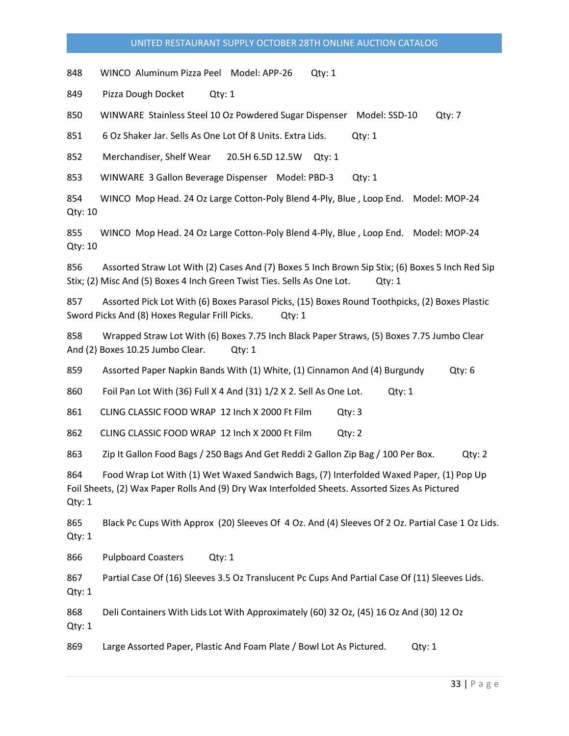848 WINCO Aluminum Pizza Peel Model: APP-26 Qty: 1

849 Pizza Dough Docket Qty: 1

850 WINWARE Stainless Steel 10 Oz Powdered Sugar Dispenser Model: SSD-10 Qty: 7

851 6 Oz Shaker Jar. Sells As One Lot Of 8 Units. Extra Lids. Qty: 1

852 Merchandiser, Shelf Wear 20.5H 6.5D 12.5W Qty: 1

853 WINWARE 3 Gallon Beverage Dispenser Model: PBD-3 Qty: 1

854 WINCO Mop Head. 24 Oz Large Cotton-Poly Blend 4-Ply, Blue , Loop End. Model: MOP-24 Qty: 10

855 WINCO Mop Head. 24 Oz Large Cotton-Poly Blend 4-Ply, Blue , Loop End. Model: MOP-24 Qty: 10

856 Assorted Straw Lot With (2) Cases And (7) Boxes 5 Inch Brown Sip Stix; (6) Boxes 5 Inch Red Sip Stix; (2) Misc And (5) Boxes 4 Inch Green Twist Ties. Sells As One Lot. Qty: 1

857 Assorted Pick Lot With (6) Boxes Parasol Picks, (15) Boxes Round Toothpicks, (2) Boxes Plastic Sword Picks And (8) Hoxes Regular Frill Picks. Qty: 1

858 Wrapped Straw Lot With (6) Boxes 7.75 Inch Black Paper Straws, (5) Boxes 7.75 Jumbo Clear And (2) Boxes 10.25 Jumbo Clear. Qty: 1

859 Assorted Paper Napkin Bands With (1) White, (1) Cinnamon And (4) Burgundy Qty: 6

860 Foil Pan Lot With (36) Full X 4 And (31) 1/2 X 2. Sell As One Lot. Qty: 1

861 CLING CLASSIC FOOD WRAP 12 Inch X 2000 Ft Film Qty: 3

862 CLING CLASSIC FOOD WRAP 12 Inch X 2000 Ft Film Qty: 2

863 Zip It Gallon Food Bags / 250 Bags And Get Reddi 2 Gallon Zip Bag / 100 Per Box. Qty: 2

864 Food Wrap Lot With (1) Wet Waxed Sandwich Bags, (7) Interfolded Waxed Paper, (1) Pop Up Foil Sheets, (2) Wax Paper Rolls And (9) Dry Wax Interfolded Sheets. Assorted Sizes As Pictured Qty: 1

865 Black Pc Cups With Approx (20) Sleeves Of 4 Oz. And (4) Sleeves Of 2 Oz. Partial Case 1 Oz Lids. Qty: 1

866 Pulpboard Coasters Qty: 1

867 Partial Case Of (16) Sleeves 3.5 Oz Translucent Pc Cups And Partial Case Of (11) Sleeves Lids. Qty: 1

868 Deli Containers With Lids Lot With Approximately (60) 32 Oz, (45) 16 Oz And (30) 12 Oz Qty: 1

869 Large Assorted Paper, Plastic And Foam Plate / Bowl Lot As Pictured. Qty: 1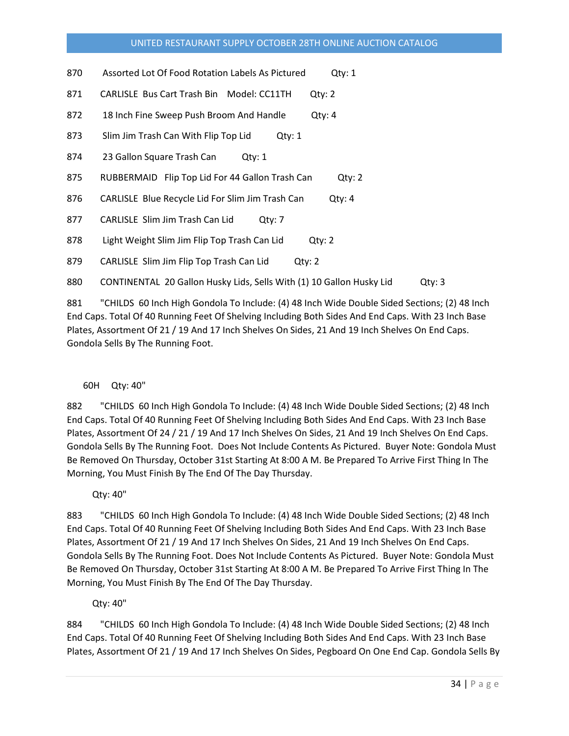| 870 | Assorted Lot Of Food Rotation Labels As Pictured | Qty: 1 |
|-----|--------------------------------------------------|--------|
|-----|--------------------------------------------------|--------|

871 CARLISLE Bus Cart Trash Bin Model: CC11TH Qty: 2

- 872 18 Inch Fine Sweep Push Broom And Handle Qty: 4
- 873 Slim Jim Trash Can With Flip Top Lid Qty: 1
- 874 23 Gallon Square Trash Can Qty: 1
- 875 RUBBERMAID Flip Top Lid For 44 Gallon Trash Can Qty: 2
- 876 CARLISLE Blue Recycle Lid For Slim Jim Trash Can Qty: 4
- 877 CARLISLE Slim Jim Trash Can Lid Qty: 7
- 878 Light Weight Slim Jim Flip Top Trash Can Lid Qty: 2
- 879 CARLISLE Slim Jim Flip Top Trash Can Lid Qty: 2

880 CONTINENTAL 20 Gallon Husky Lids, Sells With (1) 10 Gallon Husky Lid Qty: 3

881 "CHILDS 60 Inch High Gondola To Include: (4) 48 Inch Wide Double Sided Sections; (2) 48 Inch End Caps. Total Of 40 Running Feet Of Shelving Including Both Sides And End Caps. With 23 Inch Base Plates, Assortment Of 21 / 19 And 17 Inch Shelves On Sides, 21 And 19 Inch Shelves On End Caps. Gondola Sells By The Running Foot.

### 60H Qty: 40"

882 "CHILDS 60 Inch High Gondola To Include: (4) 48 Inch Wide Double Sided Sections; (2) 48 Inch End Caps. Total Of 40 Running Feet Of Shelving Including Both Sides And End Caps. With 23 Inch Base Plates, Assortment Of 24 / 21 / 19 And 17 Inch Shelves On Sides, 21 And 19 Inch Shelves On End Caps. Gondola Sells By The Running Foot. Does Not Include Contents As Pictured. Buyer Note: Gondola Must Be Removed On Thursday, October 31st Starting At 8:00 A M. Be Prepared To Arrive First Thing In The Morning, You Must Finish By The End Of The Day Thursday.

Qty: 40"

883 "CHILDS 60 Inch High Gondola To Include: (4) 48 Inch Wide Double Sided Sections; (2) 48 Inch End Caps. Total Of 40 Running Feet Of Shelving Including Both Sides And End Caps. With 23 Inch Base Plates, Assortment Of 21 / 19 And 17 Inch Shelves On Sides, 21 And 19 Inch Shelves On End Caps. Gondola Sells By The Running Foot. Does Not Include Contents As Pictured. Buyer Note: Gondola Must Be Removed On Thursday, October 31st Starting At 8:00 A M. Be Prepared To Arrive First Thing In The Morning, You Must Finish By The End Of The Day Thursday.

Qty: 40"

884 "CHILDS 60 Inch High Gondola To Include: (4) 48 Inch Wide Double Sided Sections; (2) 48 Inch End Caps. Total Of 40 Running Feet Of Shelving Including Both Sides And End Caps. With 23 Inch Base Plates, Assortment Of 21 / 19 And 17 Inch Shelves On Sides, Pegboard On One End Cap. Gondola Sells By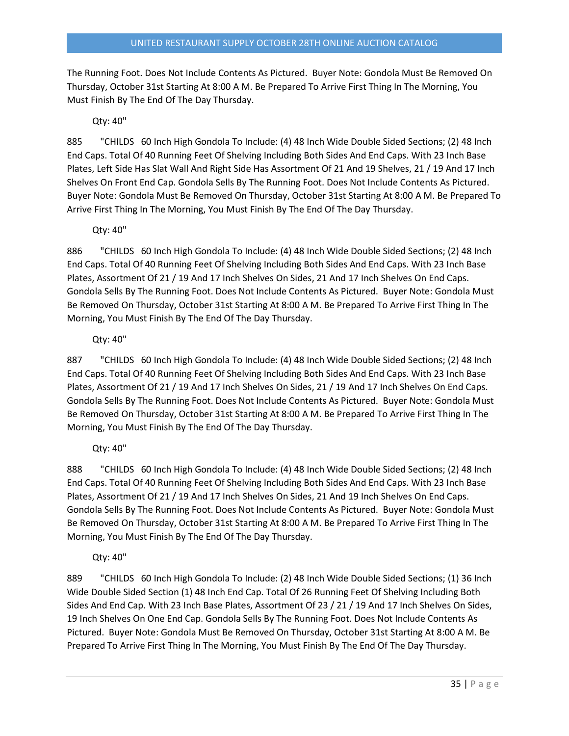The Running Foot. Does Not Include Contents As Pictured. Buyer Note: Gondola Must Be Removed On Thursday, October 31st Starting At 8:00 A M. Be Prepared To Arrive First Thing In The Morning, You Must Finish By The End Of The Day Thursday.

## Qty: 40"

885 "CHILDS 60 Inch High Gondola To Include: (4) 48 Inch Wide Double Sided Sections; (2) 48 Inch End Caps. Total Of 40 Running Feet Of Shelving Including Both Sides And End Caps. With 23 Inch Base Plates, Left Side Has Slat Wall And Right Side Has Assortment Of 21 And 19 Shelves, 21 / 19 And 17 Inch Shelves On Front End Cap. Gondola Sells By The Running Foot. Does Not Include Contents As Pictured. Buyer Note: Gondola Must Be Removed On Thursday, October 31st Starting At 8:00 A M. Be Prepared To Arrive First Thing In The Morning, You Must Finish By The End Of The Day Thursday.

### Qty: 40"

886 "CHILDS 60 Inch High Gondola To Include: (4) 48 Inch Wide Double Sided Sections; (2) 48 Inch End Caps. Total Of 40 Running Feet Of Shelving Including Both Sides And End Caps. With 23 Inch Base Plates, Assortment Of 21 / 19 And 17 Inch Shelves On Sides, 21 And 17 Inch Shelves On End Caps. Gondola Sells By The Running Foot. Does Not Include Contents As Pictured. Buyer Note: Gondola Must Be Removed On Thursday, October 31st Starting At 8:00 A M. Be Prepared To Arrive First Thing In The Morning, You Must Finish By The End Of The Day Thursday.

### Qty: 40"

887 "CHILDS 60 Inch High Gondola To Include: (4) 48 Inch Wide Double Sided Sections; (2) 48 Inch End Caps. Total Of 40 Running Feet Of Shelving Including Both Sides And End Caps. With 23 Inch Base Plates, Assortment Of 21 / 19 And 17 Inch Shelves On Sides, 21 / 19 And 17 Inch Shelves On End Caps. Gondola Sells By The Running Foot. Does Not Include Contents As Pictured. Buyer Note: Gondola Must Be Removed On Thursday, October 31st Starting At 8:00 A M. Be Prepared To Arrive First Thing In The Morning, You Must Finish By The End Of The Day Thursday.

Qty: 40"

888 "CHILDS 60 Inch High Gondola To Include: (4) 48 Inch Wide Double Sided Sections; (2) 48 Inch End Caps. Total Of 40 Running Feet Of Shelving Including Both Sides And End Caps. With 23 Inch Base Plates, Assortment Of 21 / 19 And 17 Inch Shelves On Sides, 21 And 19 Inch Shelves On End Caps. Gondola Sells By The Running Foot. Does Not Include Contents As Pictured. Buyer Note: Gondola Must Be Removed On Thursday, October 31st Starting At 8:00 A M. Be Prepared To Arrive First Thing In The Morning, You Must Finish By The End Of The Day Thursday.

Qty: 40"

889 "CHILDS 60 Inch High Gondola To Include: (2) 48 Inch Wide Double Sided Sections; (1) 36 Inch Wide Double Sided Section (1) 48 Inch End Cap. Total Of 26 Running Feet Of Shelving Including Both Sides And End Cap. With 23 Inch Base Plates, Assortment Of 23 / 21 / 19 And 17 Inch Shelves On Sides, 19 Inch Shelves On One End Cap. Gondola Sells By The Running Foot. Does Not Include Contents As Pictured. Buyer Note: Gondola Must Be Removed On Thursday, October 31st Starting At 8:00 A M. Be Prepared To Arrive First Thing In The Morning, You Must Finish By The End Of The Day Thursday.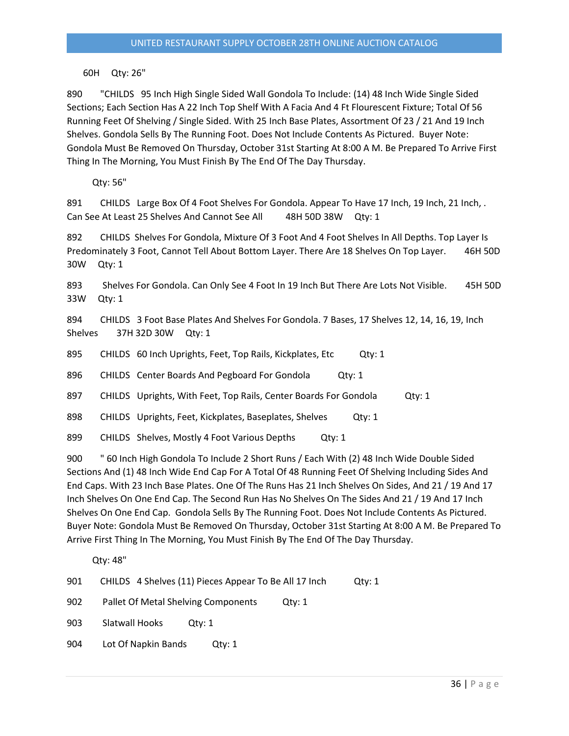60H Qty: 26"

890 "CHILDS 95 Inch High Single Sided Wall Gondola To Include: (14) 48 Inch Wide Single Sided Sections; Each Section Has A 22 Inch Top Shelf With A Facia And 4 Ft Flourescent Fixture; Total Of 56 Running Feet Of Shelving / Single Sided. With 25 Inch Base Plates, Assortment Of 23 / 21 And 19 Inch Shelves. Gondola Sells By The Running Foot. Does Not Include Contents As Pictured. Buyer Note: Gondola Must Be Removed On Thursday, October 31st Starting At 8:00 A M. Be Prepared To Arrive First Thing In The Morning, You Must Finish By The End Of The Day Thursday.

Qty: 56"

891 CHILDS Large Box Of 4 Foot Shelves For Gondola. Appear To Have 17 Inch, 19 Inch, 21 Inch, . Can See At Least 25 Shelves And Cannot See All 48H 50D 38W Qty: 1

892 CHILDS Shelves For Gondola, Mixture Of 3 Foot And 4 Foot Shelves In All Depths. Top Layer Is Predominately 3 Foot, Cannot Tell About Bottom Layer. There Are 18 Shelves On Top Layer. 46H 50D 30W Qty: 1

893 Shelves For Gondola. Can Only See 4 Foot In 19 Inch But There Are Lots Not Visible. 45H 50D 33W Qty: 1

894 CHILDS 3 Foot Base Plates And Shelves For Gondola. 7 Bases, 17 Shelves 12, 14, 16, 19, Inch Shelves 37H 32D 30W Qty: 1

895 CHILDS 60 Inch Uprights, Feet, Top Rails, Kickplates, Etc Qty: 1

896 CHILDS Center Boards And Pegboard For Gondola Qty: 1

897 CHILDS Uprights, With Feet, Top Rails, Center Boards For Gondola Qty: 1

898 CHILDS Uprights, Feet, Kickplates, Baseplates, Shelves Qty: 1

899 CHILDS Shelves, Mostly 4 Foot Various Depths Qty: 1

900 " 60 Inch High Gondola To Include 2 Short Runs / Each With (2) 48 Inch Wide Double Sided Sections And (1) 48 Inch Wide End Cap For A Total Of 48 Running Feet Of Shelving Including Sides And End Caps. With 23 Inch Base Plates. One Of The Runs Has 21 Inch Shelves On Sides, And 21 / 19 And 17 Inch Shelves On One End Cap. The Second Run Has No Shelves On The Sides And 21 / 19 And 17 Inch Shelves On One End Cap. Gondola Sells By The Running Foot. Does Not Include Contents As Pictured. Buyer Note: Gondola Must Be Removed On Thursday, October 31st Starting At 8:00 A M. Be Prepared To Arrive First Thing In The Morning, You Must Finish By The End Of The Day Thursday.

Qty: 48"

| 901 |  | CHILDS 4 Shelves (11) Pieces Appear To Be All 17 Inch | Qty: 1 |
|-----|--|-------------------------------------------------------|--------|
|-----|--|-------------------------------------------------------|--------|

902 Pallet Of Metal Shelving Components Qty: 1

903 Slatwall Hooks Qty: 1

904 Lot Of Napkin Bands Qty: 1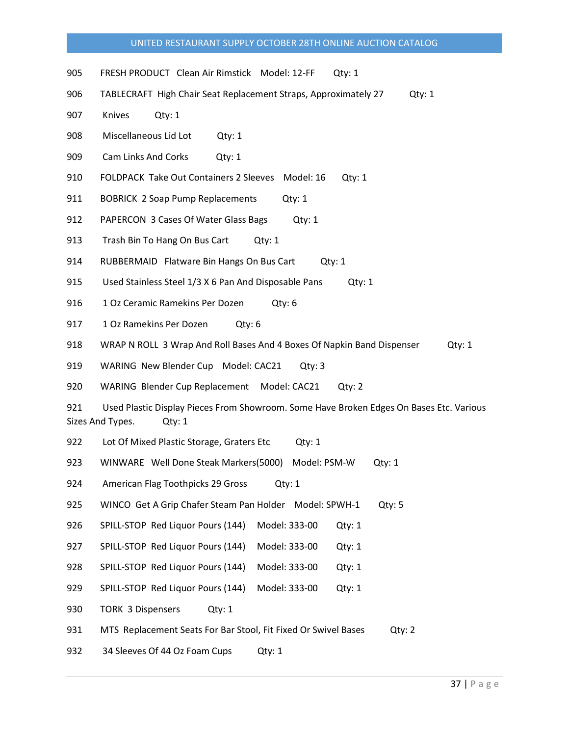- 905 FRESH PRODUCT Clean Air Rimstick Model: 12-FF Qty: 1
- 906 TABLECRAFT High Chair Seat Replacement Straps, Approximately 27 Qty: 1
- 907 Knives Qty: 1
- 908 Miscellaneous Lid Lot Qty: 1
- 909 Cam Links And Corks Qty: 1
- 910 FOLDPACK Take Out Containers 2 Sleeves Model: 16 Qty: 1
- 911 BOBRICK 2 Soap Pump Replacements Qty: 1
- 912 PAPERCON 3 Cases Of Water Glass Bags Qty: 1
- 913 Trash Bin To Hang On Bus Cart Qty: 1
- 914 RUBBERMAID Flatware Bin Hangs On Bus Cart Qty: 1
- 915 Used Stainless Steel 1/3 X 6 Pan And Disposable Pans Qty: 1
- 916 1 Oz Ceramic Ramekins Per Dozen Qty: 6
- 917 1 Oz Ramekins Per Dozen Qty: 6
- 918 WRAP N ROLL 3 Wrap And Roll Bases And 4 Boxes Of Napkin Band Dispenser Qty: 1

919 WARING New Blender Cup Model: CAC21 Qty: 3

920 WARING Blender Cup Replacement Model: CAC21 Qty: 2

921 Used Plastic Display Pieces From Showroom. Some Have Broken Edges On Bases Etc. Various Sizes And Types. Qty: 1

922 Lot Of Mixed Plastic Storage, Graters Etc Qty: 1

923 WINWARE Well Done Steak Markers(5000) Model: PSM-W Qty: 1

924 American Flag Toothpicks 29 Gross Qty: 1

- 925 WINCO Get A Grip Chafer Steam Pan Holder Model: SPWH-1 Qty: 5
- 926 SPILL-STOP Red Liquor Pours (144) Model: 333-00 Qty: 1
- 927 SPILL-STOP Red Liquor Pours (144) Model: 333-00 Qty: 1
- 928 SPILL-STOP Red Liquor Pours (144) Model: 333-00 Qty: 1
- 929 SPILL-STOP Red Liquor Pours (144) Model: 333-00 Qty: 1
- 930 TORK 3 Dispensers Qty: 1

931 MTS Replacement Seats For Bar Stool, Fit Fixed Or Swivel Bases Qty: 2

932 34 Sleeves Of 44 Oz Foam Cups Qty: 1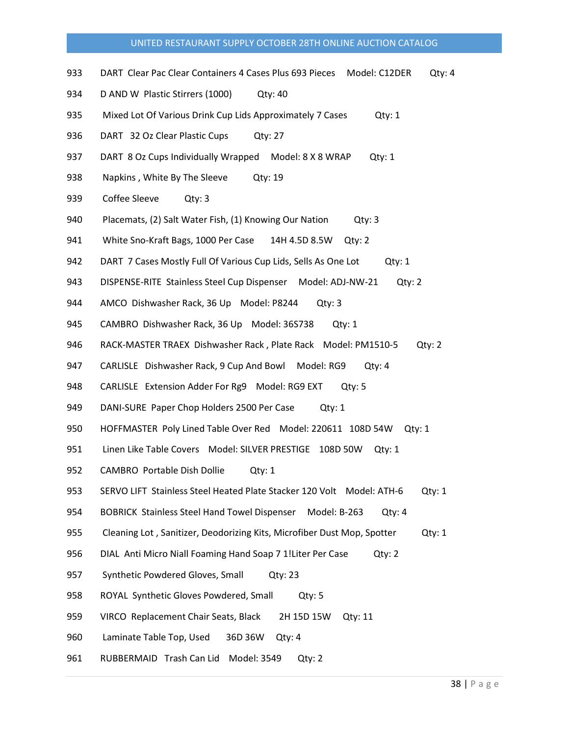- 933 DART Clear Pac Clear Containers 4 Cases Plus 693 Pieces Model: C12DER Qty: 4
- 934 D AND W Plastic Stirrers (1000) Qty: 40
- 935 Mixed Lot Of Various Drink Cup Lids Approximately 7 Cases Cty: 1
- 936 DART 32 Oz Clear Plastic Cups Qty: 27
- 937 DART 8 Oz Cups Individually Wrapped Model: 8 X 8 WRAP Qty: 1
- 938 Napkins, White By The Sleeve Qty: 19
- 939 Coffee Sleeve Qty: 3
- 940 Placemats, (2) Salt Water Fish, (1) Knowing Our Nation Qty: 3
- 941 White Sno-Kraft Bags, 1000 Per Case 14H 4.5D 8.5W Qty: 2
- 942 DART 7 Cases Mostly Full Of Various Cup Lids, Sells As One Lot Qty: 1
- 943 DISPENSE-RITE Stainless Steel Cup Dispenser Model: ADJ-NW-21 Qty: 2
- 944 AMCO Dishwasher Rack, 36 Up Model: P8244 Qty: 3
- 945 CAMBRO Dishwasher Rack, 36 Up Model: 36S738 Qty: 1
- 946 RACK-MASTER TRAEX Dishwasher Rack , Plate Rack Model: PM1510-5 Qty: 2
- 947 CARLISLE Dishwasher Rack, 9 Cup And Bowl Model: RG9 Qty: 4
- 948 CARLISLE Extension Adder For Rg9 Model: RG9 EXT Qty: 5
- 949 DANI-SURE Paper Chop Holders 2500 Per Case Qty: 1
- 950 HOFFMASTER Poly Lined Table Over Red Model: 220611 108D 54W Qty: 1
- 951 Linen Like Table Covers Model: SILVER PRESTIGE 108D 50W Qty: 1
- 952 CAMBRO Portable Dish Dollie Qty: 1
- 953 SERVO LIFT Stainless Steel Heated Plate Stacker 120 Volt Model: ATH-6 Qty: 1
- 954 BOBRICK Stainless Steel Hand Towel Dispenser Model: B-263 Qty: 4
- 955 Cleaning Lot , Sanitizer, Deodorizing Kits, Microfiber Dust Mop, Spotter Qty: 1
- 956 DIAL Anti Micro Niall Foaming Hand Soap 7 1!Liter Per Case Qty: 2
- 957 Synthetic Powdered Gloves, Small Qty: 23
- 958 ROYAL Synthetic Gloves Powdered, Small Qty: 5
- 959 VIRCO Replacement Chair Seats, Black 2H 15D 15W Qty: 11
- 960 Laminate Table Top, Used 36D 36W Qty: 4
- 961 RUBBERMAID Trash Can Lid Model: 3549 Qty: 2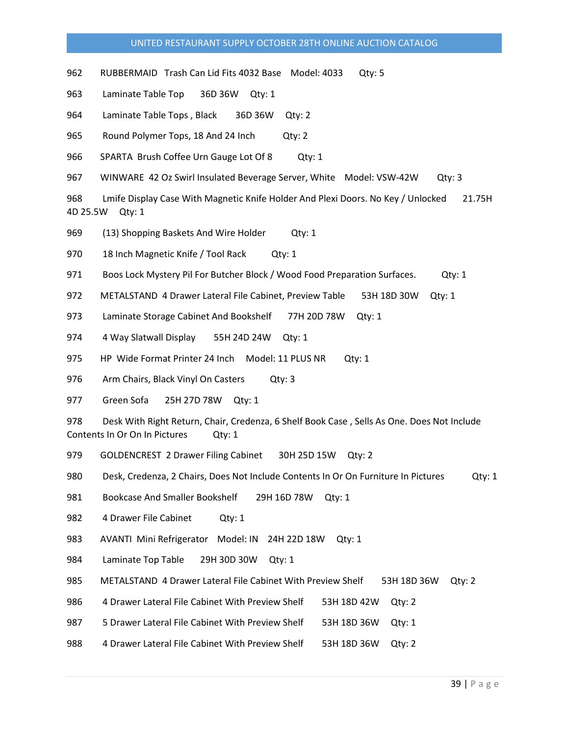962 RUBBERMAID Trash Can Lid Fits 4032 Base Model: 4033 Qty: 5

963 Laminate Table Top 36D 36W Qty: 1

964 Laminate Table Tops , Black 36D 36W Qty: 2

965 Round Polymer Tops, 18 And 24 Inch Qty: 2

966 SPARTA Brush Coffee Urn Gauge Lot Of 8 Qty: 1

967 WINWARE 42 Oz Swirl Insulated Beverage Server, White Model: VSW-42W Qty: 3

968 Lmife Display Case With Magnetic Knife Holder And Plexi Doors. No Key / Unlocked 21.75H 4D 25.5W Qty: 1

969 (13) Shopping Baskets And Wire Holder Qty: 1

970 18 Inch Magnetic Knife / Tool Rack Qty: 1

- 971 Boos Lock Mystery Pil For Butcher Block / Wood Food Preparation Surfaces. Qty: 1
- 972 METALSTAND 4 Drawer Lateral File Cabinet, Preview Table 53H 18D 30W Qty: 1

973 Laminate Storage Cabinet And Bookshelf 77H 20D 78W Qty: 1

974 4 Way Slatwall Display 55H 24D 24W Qty: 1

- 975 HP Wide Format Printer 24 Inch Model: 11 PLUS NR Qty: 1
- 976 Arm Chairs, Black Vinyl On Casters Qty: 3

977 Green Sofa 25H 27D 78W Qty: 1

978 Desk With Right Return, Chair, Credenza, 6 Shelf Book Case , Sells As One. Does Not Include Contents In Or On In Pictures Qty: 1

979 GOLDENCREST 2 Drawer Filing Cabinet 30H 25D 15W Qty: 2

980 Desk, Credenza, 2 Chairs, Does Not Include Contents In Or On Furniture In Pictures Qty: 1

981 Bookcase And Smaller Bookshelf 29H 16D 78W Qty: 1

982 4 Drawer File Cabinet Qty: 1

983 AVANTI Mini Refrigerator Model: IN 24H 22D 18W Qty: 1

984 Laminate Top Table 29H 30D 30W Qty: 1

985 METALSTAND 4 Drawer Lateral File Cabinet With Preview Shelf 53H 18D 36W Qty: 2

986 4 Drawer Lateral File Cabinet With Preview Shelf 53H 18D 42W Qty: 2

987 5 Drawer Lateral File Cabinet With Preview Shelf 53H 18D 36W Qty: 1

988 4 Drawer Lateral File Cabinet With Preview Shelf 53H 18D 36W Qty: 2